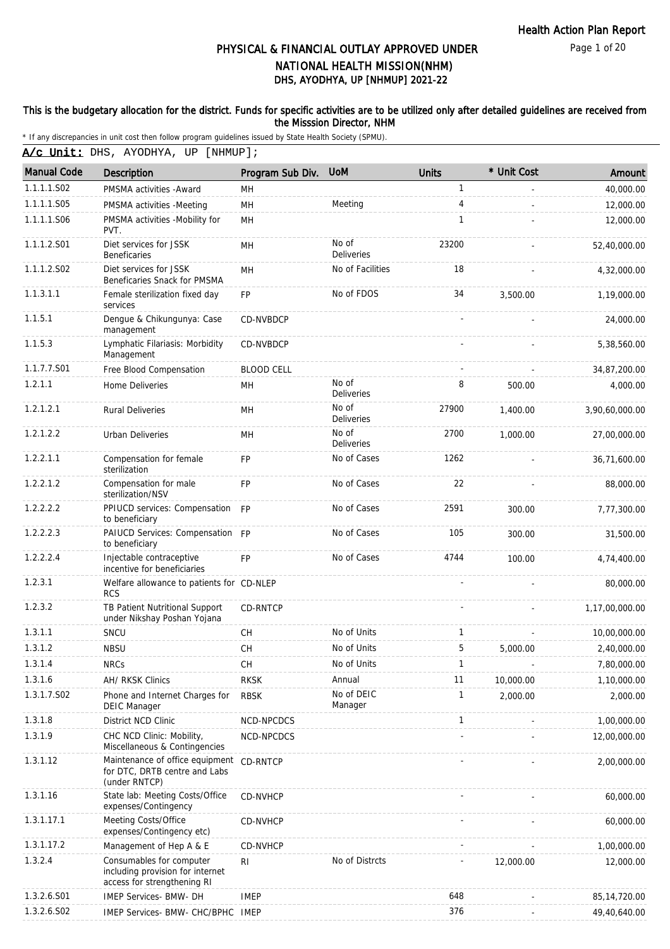Page 1 of 20

# DHS, AYODHYA, UP [NHMUP] 2021-22 PHYSICAL & FINANCIAL OUTLAY APPROVED UNDER NATIONAL HEALTH MISSION(NHM)

#### This is the budgetary allocation for the district. Funds for specific activities are to be utilized only after detailed guidelines are received from the Misssion Director, NHM

\* If any discrepancies in unit cost then follow program guidelines issued by State Health Society (SPMU).

A/c Unit: DHS, AYODHYA, UP [NHMUP];

| <b>Manual Code</b> | <b>Description</b>                                                                          | Program Sub Div.  | <b>UoM</b>                 | <b>Units</b> | * Unit Cost | Amount         |
|--------------------|---------------------------------------------------------------------------------------------|-------------------|----------------------------|--------------|-------------|----------------|
| 1.1.1.1.S02        | PMSMA activities - Award                                                                    | MН                |                            | 1            |             | 40,000.00      |
| 1.1.1.1.S05        | PMSMA activities -Meeting                                                                   | MH                | Meeting                    | 4            |             | 12,000.00      |
| 1.1.1.1.S06        | PMSMA activities -Mobility for<br>PVT.                                                      | <b>MH</b>         |                            | $\mathbf{1}$ |             | 12,000.00      |
| 1.1.1.2.S01        | Diet services for JSSK<br><b>Beneficaries</b>                                               | <b>MH</b>         | No of<br><b>Deliveries</b> | 23200        |             | 52,40,000.00   |
| 1.1.1.2.S02        | Diet services for JSSK<br>Beneficaries Snack for PMSMA                                      | MH                | No of Facilities           | 18           |             | 4,32,000.00    |
| 1.1.3.1.1          | Female sterilization fixed day<br>services                                                  | <b>FP</b>         | No of FDOS                 | 34           | 3,500.00    | 1,19,000.00    |
| 1.1.5.1            | Dengue & Chikungunya: Case<br>management                                                    | CD-NVBDCP         |                            |              |             | 24,000.00      |
| 1.1.5.3            | Lymphatic Filariasis: Morbidity<br>Management                                               | CD-NVBDCP         |                            |              |             | 5,38,560.00    |
| 1.1.7.7.S01        | Free Blood Compensation                                                                     | <b>BLOOD CELL</b> |                            |              |             | 34,87,200.00   |
| 1.2.1.1            | Home Deliveries                                                                             | MН                | No of<br>Deliveries        | 8            | 500.00      | 4,000.00       |
| 1.2.1.2.1          | <b>Rural Deliveries</b>                                                                     | <b>MH</b>         | No of<br>Deliveries        | 27900        | 1.400.00    | 3,90,60,000.00 |
| 1.2.1.2.2          | Urban Deliveries                                                                            | MH                | No of<br>Deliveries        | 2700         | 1,000.00    | 27,00,000.00   |
| 1.2.2.1.1          | Compensation for female<br>sterilization                                                    | FP                | No of Cases                | 1262         |             | 36,71,600.00   |
| 1.2.2.1.2          | Compensation for male<br>sterilization/NSV                                                  | <b>FP</b>         | No of Cases                | 22           |             | 88,000.00      |
| 1.2.2.2.2          | PPIUCD services: Compensation<br>to beneficiary                                             | FP                | No of Cases                | 2591         | 300.00      | 7,77,300.00    |
| 1.2.2.2.3          | PAIUCD Services: Compensation FP<br>to beneficiary                                          |                   | No of Cases                | 105          | 300.00      | 31,500.00      |
| 1.2.2.2.4          | Injectable contraceptive<br>incentive for beneficiaries                                     | FP                | No of Cases                | 4744         | 100.00      | 4,74,400.00    |
| 1.2.3.1            | Welfare allowance to patients for CD-NLEP<br><b>RCS</b>                                     |                   |                            |              |             | 80,000.00      |
| 1.2.3.2            | TB Patient Nutritional Support<br>under Nikshay Poshan Yojana                               | CD-RNTCP          |                            |              |             | 1,17,00,000.00 |
| 1.3.1.1            | SNCU                                                                                        | <b>CH</b>         | No of Units                | 1            |             | 10,00,000.00   |
| 1.3.1.2            | <b>NBSU</b>                                                                                 | <b>CH</b>         | No of Units                | 5            | 5,000.00    | 2,40,000.00    |
| 1.3.1.4            | <b>NRCs</b>                                                                                 | CH.               | No of Units                | 1            |             | 7,80,000.00    |
| 1.3.1.6            | AH/ RKSK Clinics                                                                            | <b>RKSK</b>       | Annual                     | 11           | 10,000.00   | 1,10,000.00    |
| 1.3.1.7.S02        | Phone and Internet Charges for<br><b>DEIC Manager</b>                                       | <b>RBSK</b>       | No of DEIC<br>Manager      | 1            | 2,000.00    | 2,000.00       |
| 1.3.1.8            | District NCD Clinic                                                                         | NCD-NPCDCS        |                            | $\mathbf{1}$ |             | 1,00,000.00    |
| 1.3.1.9            | CHC NCD Clinic: Mobility,<br>Miscellaneous & Contingencies                                  | NCD-NPCDCS        |                            |              |             | 12,00,000.00   |
| 1.3.1.12           | Maintenance of office equipment<br>for DTC, DRTB centre and Labs<br>(under RNTCP)           | CD-RNTCP          |                            |              |             | 2,00,000.00    |
| 1.3.1.16           | State lab: Meeting Costs/Office<br>expenses/Contingency                                     | CD-NVHCP          |                            |              |             | 60,000.00      |
| 1.3.1.17.1         | Meeting Costs/Office<br>expenses/Contingency etc)                                           | CD-NVHCP          |                            |              |             | 60,000.00      |
| 1.3.1.17.2         | Management of Hep A & E                                                                     | CD-NVHCP          |                            |              |             | 1,00,000.00    |
| 1.3.2.4            | Consumables for computer<br>including provision for internet<br>access for strengthening RI | RI                | No of Distrcts             |              | 12,000.00   | 12,000.00      |
| 1.3.2.6.S01        | IMEP Services- BMW- DH                                                                      | <b>IMEP</b>       |                            | 648          |             | 85, 14, 720.00 |
| 1.3.2.6.S02        | IMEP Services- BMW- CHC/BPHC IMEP                                                           |                   |                            | 376          |             | 49,40,640.00   |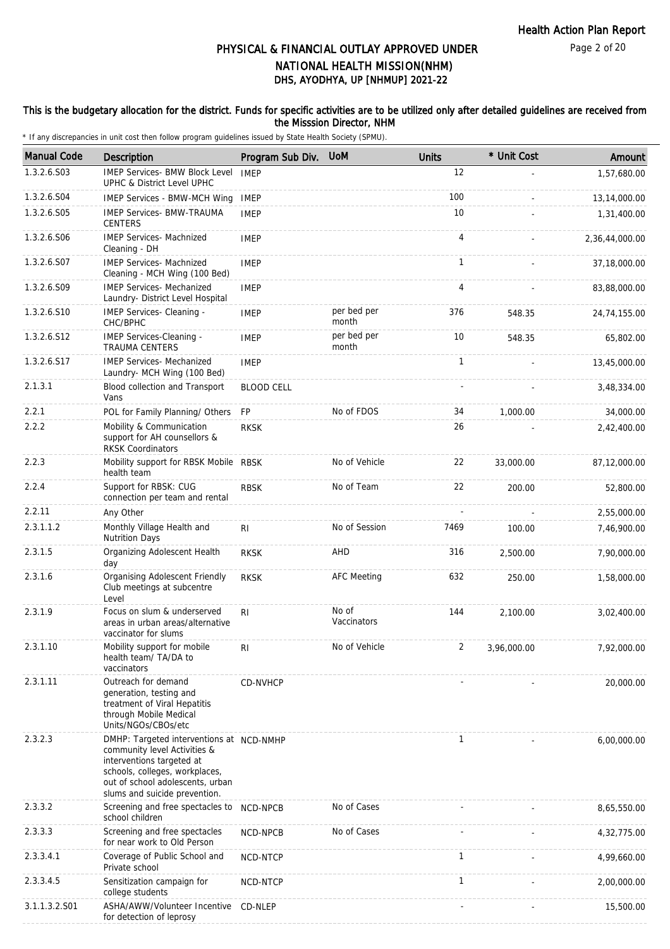### This is the budgetary allocation for the district. Funds for specific activities are to be utilized only after detailed guidelines are received from the Misssion Director, NHM

| <b>Manual Code</b> | <b>Description</b>                                                                                                                                                                                           | Program Sub Div. UoM |                      | <b>Units</b>   | * Unit Cost | Amount         |
|--------------------|--------------------------------------------------------------------------------------------------------------------------------------------------------------------------------------------------------------|----------------------|----------------------|----------------|-------------|----------------|
| 1.3.2.6.S03        | <b>IMEP Services- BMW Block Level</b><br>UPHC & District Level UPHC                                                                                                                                          | <b>IMEP</b>          |                      | 12             |             | 1,57,680.00    |
| 1.3.2.6.S04        | IMEP Services - BMW-MCH Wing                                                                                                                                                                                 | <b>IMEP</b>          |                      | 100            |             | 13,14,000.00   |
| 1.3.2.6.S05        | <b>IMEP Services- BMW-TRAUMA</b><br><b>CENTERS</b>                                                                                                                                                           | <b>IMEP</b>          |                      | 10             |             | 1,31,400.00    |
| 1.3.2.6.S06        | <b>IMEP Services- Machnized</b><br>Cleaning - DH                                                                                                                                                             | <b>IMEP</b>          |                      | 4              |             | 2,36,44,000.00 |
| 1.3.2.6.S07        | <b>IMEP Services- Machnized</b><br>Cleaning - MCH Wing (100 Bed)                                                                                                                                             | <b>IMEP</b>          |                      | 1              |             | 37,18,000.00   |
| 1.3.2.6.S09        | <b>IMEP Services- Mechanized</b><br>Laundry- District Level Hospital                                                                                                                                         | <b>IMEP</b>          |                      | $\overline{4}$ |             | 83,88,000.00   |
| 1.3.2.6.S10        | IMEP Services- Cleaning -<br>CHC/BPHC                                                                                                                                                                        | <b>IMEP</b>          | per bed per<br>month | 376            | 548.35      | 24,74,155.00   |
| 1.3.2.6.S12        | <b>IMEP Services-Cleaning -</b><br><b>TRAUMA CENTERS</b>                                                                                                                                                     | <b>IMEP</b>          | per bed per<br>month | 10             | 548.35      | 65,802.00      |
| 1.3.2.6.S17        | <b>IMEP Services- Mechanized</b><br>Laundry- MCH Wing (100 Bed)                                                                                                                                              | <b>IMEP</b>          |                      | $\mathbf{1}$   |             | 13,45,000.00   |
| 2.1.3.1            | Blood collection and Transport<br>Vans                                                                                                                                                                       | <b>BLOOD CELL</b>    |                      |                |             | 3,48,334.00    |
| 2.2.1              | POL for Family Planning/ Others                                                                                                                                                                              | <b>FP</b>            | No of FDOS           | 34             | 1,000.00    | 34,000.00      |
| 2.2.2              | Mobility & Communication<br>support for AH counsellors &<br><b>RKSK Coordinators</b>                                                                                                                         | <b>RKSK</b>          |                      | 26             |             | 2,42,400.00    |
| 2.2.3              | Mobility support for RBSK Mobile RBSK<br>health team                                                                                                                                                         |                      | No of Vehicle        | 22             | 33,000.00   | 87,12,000.00   |
| 2.2.4              | Support for RBSK: CUG<br>connection per team and rental                                                                                                                                                      | <b>RBSK</b>          | No of Team           | 22             | 200.00      | 52,800.00      |
| 2.2.11             | Any Other                                                                                                                                                                                                    |                      |                      |                |             | 2,55,000.00    |
| 2.3.1.1.2          | Monthly Village Health and<br><b>Nutrition Days</b>                                                                                                                                                          | RI                   | No of Session        | 7469           | 100.00      | 7,46,900.00    |
| 2.3.1.5            | Organizing Adolescent Health<br>day                                                                                                                                                                          | <b>RKSK</b>          | AHD                  | 316            | 2,500.00    | 7,90,000.00    |
| 2.3.1.6            | Organising Adolescent Friendly<br>Club meetings at subcentre<br>Level                                                                                                                                        | <b>RKSK</b>          | <b>AFC Meeting</b>   | 632            | 250.00      | 1,58,000.00    |
| 2.3.1.9            | Focus on slum & underserved<br>areas in urban areas/alternative<br>vaccinator for slums                                                                                                                      | RI                   | No of<br>Vaccinators | 144            | 2,100.00    | 3,02,400.00    |
| 2.3.1.10           | Mobility support for mobile<br>health team/ TA/DA to<br>vaccinators                                                                                                                                          | R <sub>l</sub>       | No of Vehicle        |                | 3,96,000.00 | 7,92,000.00    |
| 2.3.1.11           | Outreach for demand<br>generation, testing and<br>treatment of Viral Hepatitis<br>through Mobile Medical<br>Units/NGOs/CBOs/etc                                                                              | CD-NVHCP             |                      |                |             | 20,000.00      |
| 2.3.2.3            | DMHP: Targeted interventions at NCD-NMHP<br>community level Activities &<br>interventions targeted at<br>schools, colleges, workplaces,<br>out of school adolescents, urban<br>slums and suicide prevention. |                      |                      | 1              |             | 6,00,000.00    |
| 2.3.3.2            | Screening and free spectacles to NCD-NPCB<br>school children                                                                                                                                                 |                      | No of Cases          |                |             | 8,65,550.00    |
| 2.3.3.3            | Screening and free spectacles<br>for near work to Old Person                                                                                                                                                 | NCD-NPCB             | No of Cases          |                |             | 4,32,775.00    |
| 2.3.3.4.1          | Coverage of Public School and<br>Private school                                                                                                                                                              | NCD-NTCP             |                      | $\mathbf{1}$   |             | 4,99,660.00    |
| 2.3.3.4.5          | Sensitization campaign for<br>college students                                                                                                                                                               | NCD-NTCP             |                      | 1              |             | 2,00,000.00    |
| 3.1.1.3.2.S01      | ASHA/AWW/Volunteer Incentive<br>for detection of leprosy                                                                                                                                                     | CD-NLEP              |                      |                |             | 15,500.00      |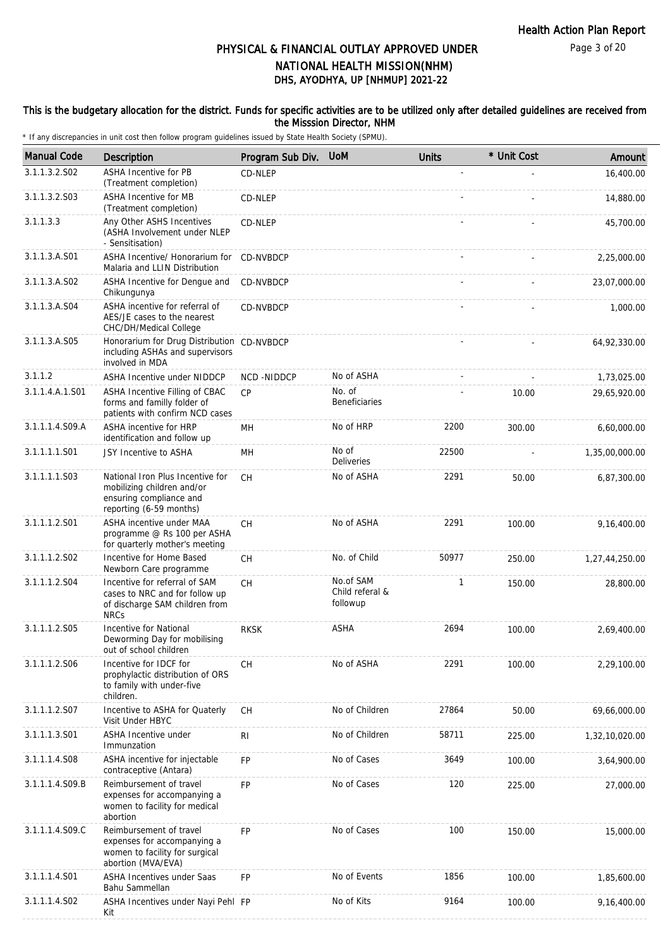#### This is the budgetary allocation for the district. Funds for specific activities are to be utilized only after detailed guidelines are received from the Misssion Director, NHM

| <b>Manual Code</b> | Description                                                                                                          | Program Sub Div.  | <b>UoM</b>                               | <b>Units</b> | * Unit Cost | Amount         |
|--------------------|----------------------------------------------------------------------------------------------------------------------|-------------------|------------------------------------------|--------------|-------------|----------------|
| 3.1.1.3.2.S02      | <b>ASHA Incentive for PB</b><br>(Treatment completion)                                                               | CD-NLEP           |                                          |              |             | 16,400.00      |
| 3.1.1.3.2.S03      | <b>ASHA Incentive for MB</b><br>(Treatment completion)                                                               | CD-NLEP           |                                          |              |             | 14,880.00      |
| 3.1.1.3.3          | Any Other ASHS Incentives<br>(ASHA Involvement under NLEP<br>- Sensitisation)                                        | CD-NLEP           |                                          |              |             | 45,700.00      |
| 3.1.1.3.A.S01      | ASHA Incentive/ Honorarium for<br>Malaria and LLIN Distribution                                                      | CD-NVBDCP         |                                          |              |             | 2,25,000.00    |
| 3.1.1.3.A.S02      | ASHA Incentive for Dengue and<br>Chikungunya                                                                         | CD-NVBDCP         |                                          |              |             | 23,07,000.00   |
| 3.1.1.3.A.S04      | ASHA incentive for referral of<br>AES/JE cases to the nearest<br>CHC/DH/Medical College                              | CD-NVBDCP         |                                          |              |             | 1,000.00       |
| 3.1.1.3.A.S05      | Honorarium for Drug Distribution CD-NVBDCP<br>including ASHAs and supervisors<br>involved in MDA                     |                   |                                          |              |             | 64,92,330.00   |
| 3.1.1.2            | ASHA Incentive under NIDDCP                                                                                          | <b>NCD-NIDDCP</b> | No of ASHA                               |              |             | 1,73,025.00    |
| 3.1.1.4.A.1.S01    | ASHA Incentive Filling of CBAC<br>forms and familly folder of<br>patients with confirm NCD cases                     | <b>CP</b>         | No. of<br><b>Beneficiaries</b>           |              | 10.00       | 29,65,920.00   |
| 3.1.1.1.4.S09.A    | ASHA incentive for HRP<br>identification and follow up                                                               | MН                | No of HRP                                | 2200         | 300.00      | 6,60,000.00    |
| 3.1.1.1.1.S01      | JSY Incentive to ASHA                                                                                                | MН                | No of<br><b>Deliveries</b>               | 22500        |             | 1,35,00,000.00 |
| 3.1.1.1.1.S03      | National Iron Plus Incentive for<br>mobilizing children and/or<br>ensuring compliance and<br>reporting (6-59 months) | <b>CH</b>         | No of ASHA                               | 2291         | 50.00       | 6,87,300.00    |
| 3.1.1.1.2.S01      | ASHA incentive under MAA<br>programme @ Rs 100 per ASHA<br>for quarterly mother's meeting                            | CH                | No of ASHA                               | 2291         | 100.00      | 9,16,400.00    |
| 3.1.1.1.2.S02      | Incentive for Home Based<br>Newborn Care programme                                                                   | CH                | No. of Child                             | 50977        | 250.00      | 1,27,44,250.00 |
| 3.1.1.1.2.S04      | Incentive for referral of SAM<br>cases to NRC and for follow up<br>of discharge SAM children from<br><b>NRCs</b>     | CH                | No.of SAM<br>Child referal &<br>followup | 1            | 150.00      | 28,800.00      |
| 3.1.1.1.2.S05      | Incentive for National<br>Deworming Day for mobilising<br>out of school children                                     | <b>RKSK</b>       | <b>ASHA</b>                              | 2694         | 100.00      | 2,69,400.00    |
| 3.1.1.1.2.S06      | Incentive for IDCF for<br>prophylactic distribution of ORS<br>to family with under-five<br>children.                 | СH                | No of ASHA                               | 2291         | 100.00      | 2,29,100.00    |
| 3.1.1.1.2.S07      | Incentive to ASHA for Quaterly<br>Visit Under HBYC                                                                   | CH                | No of Children                           | 27864        | 50.00       | 69,66,000.00   |
| 3.1.1.1.3.S01      | <b>ASHA Incentive under</b><br>Immunzation                                                                           | R <sub>l</sub>    | No of Children                           | 58711        | 225.00      | 1,32,10,020.00 |
| 3.1.1.1.4.S08      | ASHA incentive for injectable<br>contraceptive (Antara)                                                              | FP                | No of Cases                              | 3649         | 100.00      | 3,64,900.00    |
| 3.1.1.1.4.S09.B    | Reimbursement of travel<br>expenses for accompanying a<br>women to facility for medical<br>abortion                  | FP                | No of Cases                              | 120          | 225.00      | 27,000.00      |
| 3.1.1.1.4.S09.C    | Reimbursement of travel<br>expenses for accompanying a<br>women to facility for surgical<br>abortion (MVA/EVA)       | <b>FP</b>         | No of Cases                              | 100          | 150.00      | 15,000.00      |
| 3.1.1.1.4.S01      | <b>ASHA Incentives under Saas</b><br>Bahu Sammellan                                                                  | <b>FP</b>         | No of Events                             | 1856         | 100.00      | 1,85,600.00    |
| 3.1.1.1.4.S02      | ASHA Incentives under Nayi Pehl FP<br>Kit                                                                            |                   | No of Kits                               | 9164         | 100.00      | 9,16,400.00    |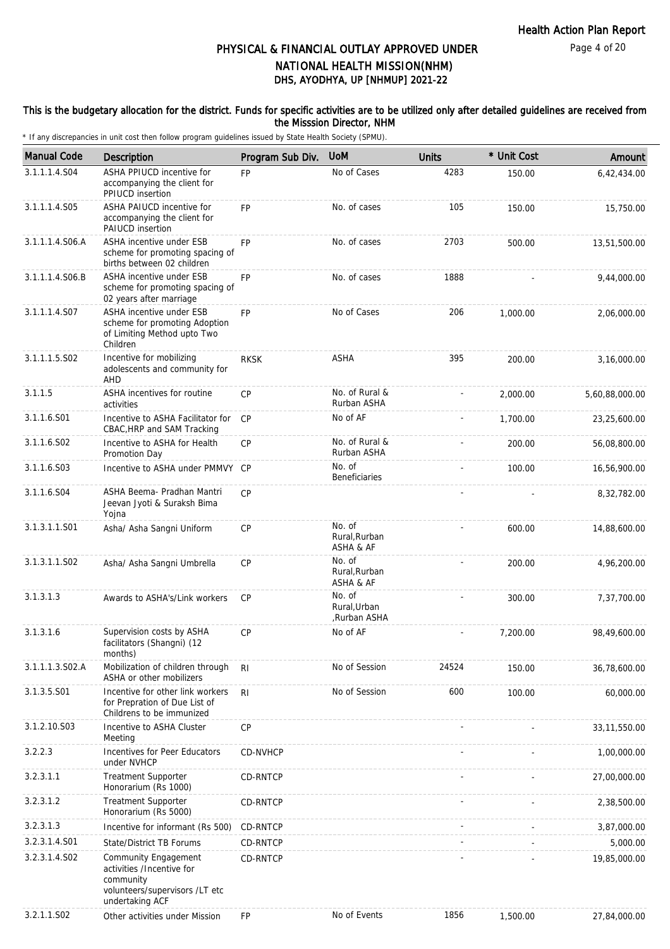### This is the budgetary allocation for the district. Funds for specific activities are to be utilized only after detailed guidelines are received from the Misssion Director, NHM

| <b>Manual Code</b> | Description                                                                                                         | Program Sub Div. | <b>UoM</b>                             | <b>Units</b> | * Unit Cost | Amount         |
|--------------------|---------------------------------------------------------------------------------------------------------------------|------------------|----------------------------------------|--------------|-------------|----------------|
| 3.1.1.1.4.S04      | ASHA PPIUCD incentive for<br>accompanying the client for<br>PPIUCD insertion                                        | FP               | No of Cases                            | 4283         | 150.00      | 6,42,434.00    |
| 3.1.1.1.4.S05      | ASHA PAIUCD incentive for<br>accompanying the client for<br>PAIUCD insertion                                        | <b>FP</b>        | No. of cases                           | 105          | 150.00      | 15,750.00      |
| 3.1.1.1.4.S06.A    | ASHA incentive under ESB<br>scheme for promoting spacing of<br>births between 02 children                           | <b>FP</b>        | No. of cases                           | 2703         | 500.00      | 13,51,500.00   |
| 3.1.1.1.4.S06.B    | ASHA incentive under ESB<br>scheme for promoting spacing of<br>02 years after marriage                              | <b>FP</b>        | No. of cases                           | 1888         |             | 9,44,000.00    |
| 3.1.1.1.4.S07      | ASHA incentive under ESB<br>scheme for promoting Adoption<br>of Limiting Method upto Two<br>Children                | <b>FP</b>        | No of Cases                            | 206          | 1,000.00    | 2,06,000.00    |
| 3.1.1.1.5.S02      | Incentive for mobilizing<br>adolescents and community for<br>AHD                                                    | <b>RKSK</b>      | <b>ASHA</b>                            | 395          | 200.00      | 3,16,000.00    |
| 3.1.1.5            | ASHA incentives for routine<br>activities                                                                           | CP               | No. of Rural &<br>Rurban ASHA          |              | 2.000.00    | 5,60,88,000.00 |
| 3.1.1.6.S01        | Incentive to ASHA Facilitator for<br>CBAC, HRP and SAM Tracking                                                     | CP               | No of AF                               |              | 1,700.00    | 23,25,600.00   |
| 3.1.1.6.S02        | Incentive to ASHA for Health<br>Promotion Day                                                                       | <b>CP</b>        | No. of Rural &<br>Rurban ASHA          |              | 200.00      | 56,08,800.00   |
| 3.1.1.6.S03        | Incentive to ASHA under PMMVY CP                                                                                    |                  | No. of<br><b>Beneficiaries</b>         |              | 100.00      | 16,56,900.00   |
| 3.1.1.6.S04        | ASHA Beema- Pradhan Mantri<br>Jeevan Jyoti & Suraksh Bima<br>Yojna                                                  | CP               |                                        |              |             | 8,32,782.00    |
| 3.1.3.1.1.S01      | Asha/ Asha Sangni Uniform                                                                                           | <b>CP</b>        | No. of<br>Rural, Rurban<br>ASHA & AF   |              | 600.00      | 14,88,600.00   |
| 3.1.3.1.1.S02      | Asha/ Asha Sangni Umbrella                                                                                          | CP               | No. of<br>Rural, Rurban<br>ASHA & AF   |              | 200.00      | 4,96,200.00    |
| 3.1.3.1.3          | Awards to ASHA's/Link workers                                                                                       | <b>CP</b>        | No. of<br>Rural, Urban<br>,Rurban ASHA |              | 300.00      | 7,37,700.00    |
| 3.1.3.1.6          | Supervision costs by ASHA<br>facilitators (Shangni) (12<br>months)                                                  | <b>CP</b>        | No of AF                               |              | 7,200.00    | 98,49,600.00   |
| 3.1.1.1.3.S02.A    | Mobilization of children through<br>ASHA or other mobilizers                                                        | R <sub>l</sub>   | No of Session                          | 24524        | 150.00      | 36,78,600.00   |
| 3.1.3.5.S01        | Incentive for other link workers<br>for Prepration of Due List of<br>Childrens to be immunized                      | R <sub>1</sub>   | No of Session                          | 600          | 100.00      | 60,000.00      |
| 3.1.2.10.S03       | Incentive to ASHA Cluster<br>Meeting                                                                                | <b>CP</b>        |                                        |              |             | 33, 11, 550.00 |
| 3.2.2.3            | Incentives for Peer Educators<br>under NVHCP                                                                        | CD-NVHCP         |                                        |              |             | 1,00,000.00    |
| 3.2.3.1.1          | <b>Treatment Supporter</b><br>Honorarium (Rs 1000)                                                                  | CD-RNTCP         |                                        |              |             | 27,00,000.00   |
| 3.2.3.1.2          | <b>Treatment Supporter</b><br>Honorarium (Rs 5000)                                                                  | CD-RNTCP         |                                        |              |             | 2,38,500.00    |
| 3.2.3.1.3          | Incentive for informant (Rs 500)                                                                                    | CD-RNTCP         |                                        |              |             | 3,87,000.00    |
| 3.2.3.1.4.S01      | State/District TB Forums                                                                                            | CD-RNTCP         |                                        |              |             | 5,000.00       |
| 3.2.3.1.4.S02      | Community Engagement<br>activities /Incentive for<br>community<br>volunteers/supervisors /LT etc<br>undertaking ACF | CD-RNTCP         |                                        |              |             | 19,85,000.00   |
| 3.2.1.1.S02        | Other activities under Mission                                                                                      | <b>FP</b>        | No of Events                           | 1856         | 1,500.00    | 27,84,000.00   |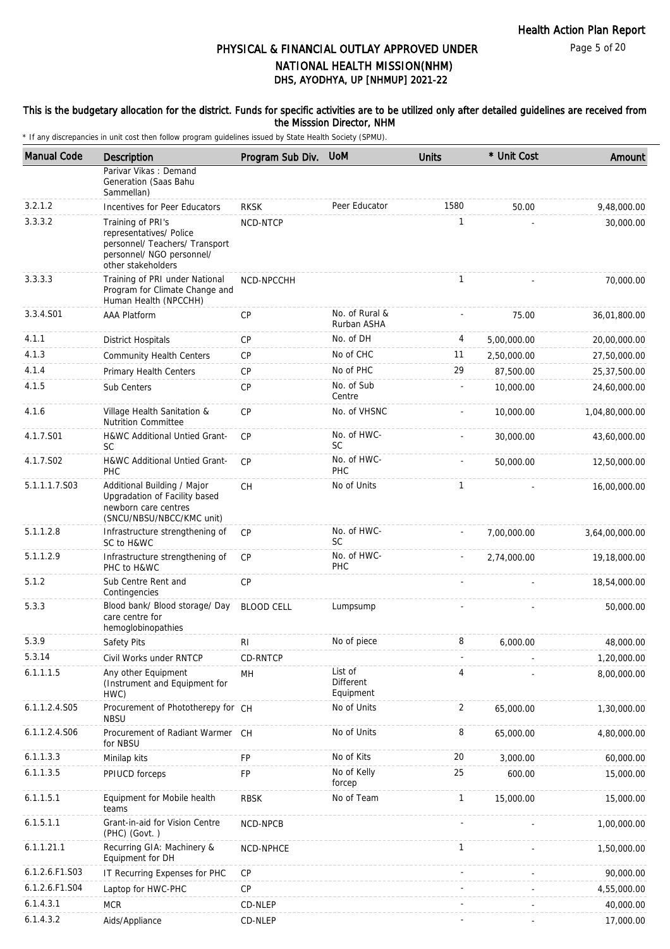#### This is the budgetary allocation for the district. Funds for specific activities are to be utilized only after detailed guidelines are received from the Misssion Director, NHM

| <b>Manual Code</b> | Description                                                                                                                       | Program Sub Div.  | <b>UoM</b>                        | <b>Units</b> | * Unit Cost | Amount         |
|--------------------|-----------------------------------------------------------------------------------------------------------------------------------|-------------------|-----------------------------------|--------------|-------------|----------------|
|                    | Parivar Vikas: Demand<br>Generation (Saas Bahu<br>Sammellan)                                                                      |                   |                                   |              |             |                |
| 3.2.1.2            | Incentives for Peer Educators                                                                                                     | <b>RKSK</b>       | Peer Educator                     | 1580         | 50.00       | 9,48,000.00    |
| 3.3.3.2            | Training of PRI's<br>representatives/ Police<br>personnel/ Teachers/ Transport<br>personnel/ NGO personnel/<br>other stakeholders | NCD-NTCP          |                                   | 1            |             | 30,000.00      |
| 3.3.3.3            | Training of PRI under National<br>Program for Climate Change and<br>Human Health (NPCCHH)                                         | NCD-NPCCHH        |                                   | $\mathbf{1}$ |             | 70,000.00      |
| 3.3.4.S01          | <b>AAA Platform</b>                                                                                                               | CP                | No. of Rural &<br>Rurban ASHA     |              | 75.00       | 36,01,800.00   |
| 4.1.1              | <b>District Hospitals</b>                                                                                                         | <b>CP</b>         | No. of DH                         | 4            | 5,00,000.00 | 20,00,000.00   |
| 4.1.3              | <b>Community Health Centers</b>                                                                                                   | <b>CP</b>         | No of CHC                         | 11           | 2,50,000.00 | 27,50,000.00   |
| 4.1.4              | Primary Health Centers                                                                                                            | <b>CP</b>         | No of PHC                         | 29           | 87,500.00   | 25,37,500.00   |
| 4.1.5              | Sub Centers                                                                                                                       | CP                | No. of Sub<br>Centre              |              | 10,000.00   | 24,60,000.00   |
| 4.1.6              | Village Health Sanitation &<br><b>Nutrition Committee</b>                                                                         | <b>CP</b>         | No. of VHSNC                      |              | 10,000.00   | 1,04,80,000.00 |
| 4.1.7.S01          | H&WC Additional Untied Grant-<br><b>SC</b>                                                                                        | CP                | No. of HWC-<br>SC                 |              | 30,000.00   | 43,60,000.00   |
| 4.1.7.S02          | H&WC Additional Untied Grant-<br><b>PHC</b>                                                                                       | <b>CP</b>         | No. of HWC-<br>PHC                |              | 50,000.00   | 12,50,000.00   |
| 5.1.1.1.7.S03      | Additional Building / Major<br>Upgradation of Facility based<br>newborn care centres<br>(SNCU/NBSU/NBCC/KMC unit)                 | СH                | No of Units                       | 1            |             | 16,00,000.00   |
| 5.1.1.2.8          | Infrastructure strengthening of<br>SC to H&WC                                                                                     | <b>CP</b>         | No. of HWC-<br><b>SC</b>          |              | 7,00,000.00 | 3,64,00,000.00 |
| 5.1.1.2.9          | Infrastructure strengthening of<br>PHC to H&WC                                                                                    | <b>CP</b>         | No. of HWC-<br>PHC                |              | 2,74,000.00 | 19,18,000.00   |
| 5.1.2              | Sub Centre Rent and<br>Contingencies                                                                                              | <b>CP</b>         |                                   |              |             | 18,54,000.00   |
| 5.3.3              | Blood bank/ Blood storage/ Day<br>care centre for<br>hemoglobinopathies                                                           | <b>BLOOD CELL</b> | Lumpsump                          |              |             | 50,000.00      |
| 5.3.9              | Safety Pits                                                                                                                       | RI                | No of piece                       | 8            | 6,000.00    | 48,000.00      |
| 5.3.14             | Civil Works under RNTCP                                                                                                           | CD-RNTCP          |                                   |              |             | 1,20,000.00    |
| 6.1.1.1.5          | Any other Equipment<br>(Instrument and Equipment for<br>HWC)                                                                      | MH                | List of<br>Different<br>Equipment | 4            |             | 8,00,000.00    |
| 6.1.1.2.4.S05      | Procurement of Phototherepy for CH<br><b>NBSU</b>                                                                                 |                   | No of Units                       | 2            | 65,000.00   | 1,30,000.00    |
| 6.1.1.2.4.S06      | Procurement of Radiant Warmer CH<br>for NBSU                                                                                      |                   | No of Units                       | 8            | 65,000.00   | 4,80,000.00    |
| 6.1.1.3.3          | Minilap kits                                                                                                                      | FP                | No of Kits                        | 20           | 3,000.00    | 60,000.00      |
| 6.1.1.3.5          | PPIUCD forceps                                                                                                                    | FP                | No of Kelly<br>forcep             | 25           | 600.00      | 15,000.00      |
| 6.1.1.5.1          | Equipment for Mobile health<br>teams                                                                                              | <b>RBSK</b>       | No of Team                        | $\mathbf{1}$ | 15,000.00   | 15,000.00      |
| 6.1.5.1.1          | Grant-in-aid for Vision Centre<br>(PHC) (Govt.)                                                                                   | NCD-NPCB          |                                   |              |             | 1,00,000.00    |
| 6.1.1.21.1         | Recurring GIA: Machinery &<br>Equipment for DH                                                                                    | NCD-NPHCE         |                                   | $\mathbf{1}$ |             | 1,50,000.00    |
| 6.1.2.6.F1.S03     | IT Recurring Expenses for PHC                                                                                                     | CP                |                                   |              |             | 90,000.00      |
| 6.1.2.6.F1.S04     | Laptop for HWC-PHC                                                                                                                | <b>CP</b>         |                                   |              |             | 4,55,000.00    |
| 6.1.4.3.1          | <b>MCR</b>                                                                                                                        | CD-NLEP           |                                   |              |             | 40,000.00      |
| 6.1.4.3.2          | Aids/Appliance                                                                                                                    | CD-NLEP           |                                   |              |             | 17,000.00      |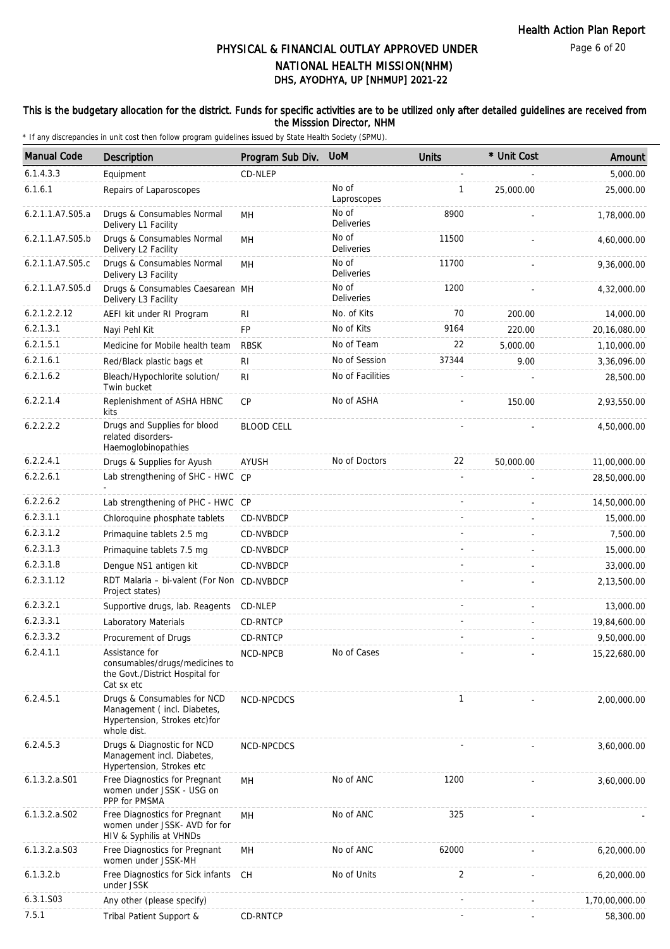### This is the budgetary allocation for the district. Funds for specific activities are to be utilized only after detailed guidelines are received from the Misssion Director, NHM

| <b>Manual Code</b> | <b>Description</b>                                                                                         | Program Sub Div.  | <b>UoM</b>                 | <b>Units</b> | * Unit Cost | Amount         |
|--------------------|------------------------------------------------------------------------------------------------------------|-------------------|----------------------------|--------------|-------------|----------------|
| 6.1.4.3.3          | Equipment                                                                                                  | CD-NLEP           |                            |              |             | 5,000.00       |
| 6.1.6.1            | Repairs of Laparoscopes                                                                                    |                   | No of<br>Laproscopes       | 1            | 25,000.00   | 25,000.00      |
| 6.2.1.1.A7.S05.a   | Drugs & Consumables Normal<br>Delivery L1 Facility                                                         | MН                | No of<br>Deliveries        | 8900         |             | 1,78,000.00    |
| 6.2.1.1.A7.S05.b   | Drugs & Consumables Normal<br>Delivery L2 Facility                                                         | MH                | No of<br><b>Deliveries</b> | 11500        |             | 4,60,000.00    |
| 6.2.1.1.A7.S05.c   | Drugs & Consumables Normal<br>Delivery L3 Facility                                                         | MH                | No of<br><b>Deliveries</b> | 11700        |             | 9,36,000.00    |
| 6.2.1.1.A7.S05.d   | Drugs & Consumables Caesarean MH<br>Delivery L3 Facility                                                   |                   | No of<br><b>Deliveries</b> | 1200         |             | 4,32,000.00    |
| 6.2.1.2.2.12       | AEFI kit under RI Program                                                                                  | RI                | No. of Kits                | 70           | 200.00      | 14,000.00      |
| 6.2.1.3.1          | Nayi Pehl Kit                                                                                              | FP                | No of Kits                 | 9164         | 220.00      | 20,16,080.00   |
| 6.2.1.5.1          | Medicine for Mobile health team                                                                            | <b>RBSK</b>       | No of Team                 | 22           | 5,000.00    | 1,10,000.00    |
| 6.2.1.6.1          | Red/Black plastic bags et                                                                                  | R <sub>l</sub>    | No of Session              | 37344        | 9.00        | 3,36,096.00    |
| 6.2.1.6.2          | Bleach/Hypochlorite solution/<br>Twin bucket                                                               | R <sub>l</sub>    | No of Facilities           |              |             | 28,500.00      |
| 6.2.2.1.4          | Replenishment of ASHA HBNC<br>kits                                                                         | CP                | No of ASHA                 |              | 150.00      | 2,93,550.00    |
| 6.2.2.2.2          | Drugs and Supplies for blood<br>related disorders-<br>Haemoglobinopathies                                  | <b>BLOOD CELL</b> |                            |              |             | 4,50,000.00    |
| 6.2.2.4.1          | Drugs & Supplies for Ayush                                                                                 | AYUSH             | No of Doctors              | 22           | 50,000.00   | 11,00,000.00   |
| 6.2.2.6.1          | Lab strengthening of SHC - HWC CP                                                                          |                   |                            |              |             | 28,50,000.00   |
| 6.2.2.6.2          | Lab strengthening of PHC - HWC CP                                                                          |                   |                            |              |             | 14,50,000.00   |
| 6.2.3.1.1          | Chloroquine phosphate tablets                                                                              | CD-NVBDCP         |                            |              |             | 15,000.00      |
| 6.2.3.1.2          | Primaquine tablets 2.5 mg                                                                                  | CD-NVBDCP         |                            |              |             | 7,500.00       |
| 6.2.3.1.3          | Primaquine tablets 7.5 mg                                                                                  | CD-NVBDCP         |                            |              |             | 15,000.00      |
| 6.2.3.1.8          | Denque NS1 antigen kit                                                                                     | CD-NVBDCP         |                            |              |             | 33,000.00      |
| 6.2.3.1.12         | RDT Malaria - bi-valent (For Non CD-NVBDCP<br>Project states)                                              |                   |                            |              |             | 2,13,500.00    |
| 6.2.3.2.1          | Supportive drugs, lab. Reagents CD-NLEP                                                                    |                   |                            |              |             | 13,000.00      |
| 6.2.3.3.1          | Laboratory Materials                                                                                       | CD-RNTCP          |                            |              |             | 19,84,600.00   |
| 6.2.3.3.2          | Procurement of Drugs                                                                                       | CD-RNTCP          |                            |              |             | 9,50,000.00    |
| 6.2.4.1.1          | Assistance for<br>consumables/drugs/medicines to<br>the Govt./District Hospital for<br>Cat sx etc          | NCD-NPCB          | No of Cases                |              |             | 15,22,680.00   |
| 6.2.4.5.1          | Drugs & Consumables for NCD<br>Management (incl. Diabetes,<br>Hypertension, Strokes etc)for<br>whole dist. | NCD-NPCDCS        |                            | $\mathbf{1}$ |             | 2,00,000.00    |
| 6.2.4.5.3          | Drugs & Diagnostic for NCD<br>Management incl. Diabetes,<br>Hypertension, Strokes etc                      | NCD-NPCDCS        |                            |              |             | 3,60,000.00    |
| 6.1.3.2.a.S01      | Free Diagnostics for Pregnant<br>women under JSSK - USG on<br>PPP for PMSMA                                | MH                | No of ANC                  | 1200         |             | 3,60,000.00    |
| 6.1.3.2.a.S02      | Free Diagnostics for Pregnant<br>women under JSSK- AVD for for<br>HIV & Syphilis at VHNDs                  | MH                | No of ANC                  | 325          |             |                |
| $6.1.3.2.a.$ SO3   | Free Diagnostics for Pregnant<br>women under JSSK-MH                                                       | MН                | No of ANC                  | 62000        |             | 6,20,000.00    |
| 6.1.3.2.b          | Free Diagnostics for Sick infants CH<br>under JSSK                                                         |                   | No of Units                | 2            |             | 6,20,000.00    |
| 6.3.1.S03          | Any other (please specify)                                                                                 |                   |                            |              |             | 1,70,00,000.00 |
| 7.5.1              | Tribal Patient Support &                                                                                   | CD-RNTCP          |                            |              |             | 58,300.00      |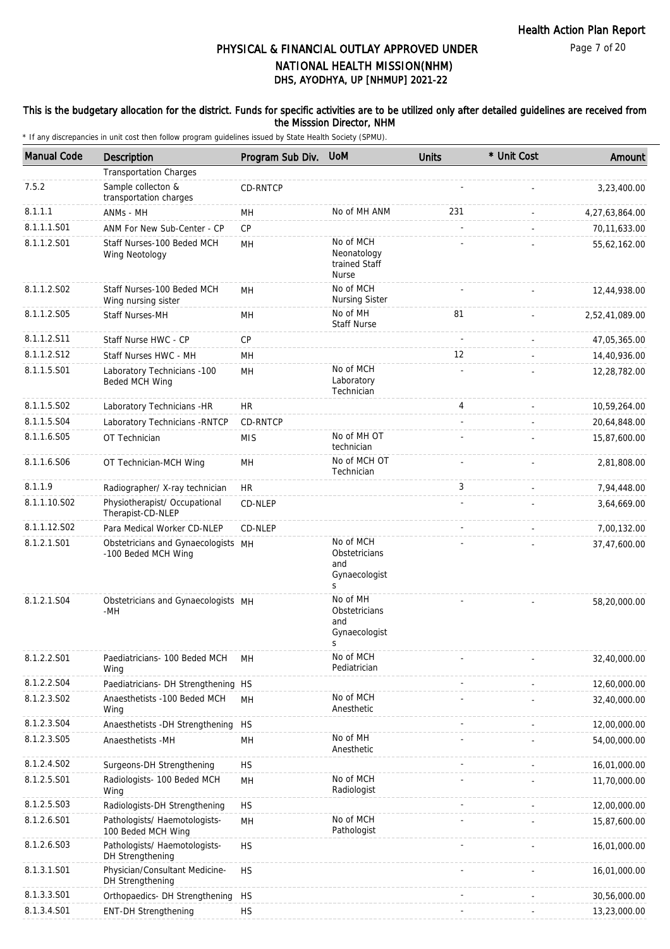### This is the budgetary allocation for the district. Funds for specific activities are to be utilized only after detailed guidelines are received from the Misssion Director, NHM

| <b>Manual Code</b> | <b>Description</b>                                         | Program Sub Div. | <b>UoM</b>                                                | <b>Units</b> | * Unit Cost | Amount         |
|--------------------|------------------------------------------------------------|------------------|-----------------------------------------------------------|--------------|-------------|----------------|
|                    | <b>Transportation Charges</b>                              |                  |                                                           |              |             |                |
| 7.5.2              | Sample collecton &<br>transportation charges               | CD-RNTCP         |                                                           |              |             | 3,23,400.00    |
| 8.1.1.1            | ANMs - MH                                                  | MН               | No of MH ANM                                              | 231          |             | 4,27,63,864.00 |
| 8.1.1.1.S01        | ANM For New Sub-Center - CP                                | CP               |                                                           |              |             | 70,11,633.00   |
| 8.1.1.2.S01        | Staff Nurses-100 Beded MCH<br>Wing Neotology               | MH               | No of MCH<br>Neonatology<br>trained Staff<br><b>Nurse</b> |              |             | 55,62,162.00   |
| 8.1.1.2.S02        | Staff Nurses-100 Beded MCH<br>Wing nursing sister          | MН               | No of MCH<br><b>Nursing Sister</b>                        |              |             | 12,44,938.00   |
| 8.1.1.2.S05        | Staff Nurses-MH                                            | MH               | No of MH<br><b>Staff Nurse</b>                            | 81           |             | 2,52,41,089.00 |
| 8.1.1.2.S11        | Staff Nurse HWC - CP                                       | CP               |                                                           |              |             | 47,05,365.00   |
| 8.1.1.2.S12        | Staff Nurses HWC - MH                                      | MH               |                                                           | 12           |             | 14,40,936.00   |
| 8.1.1.5.S01        | Laboratory Technicians -100<br>Beded MCH Wing              | MH               | No of MCH<br>Laboratory<br>Technician                     |              |             | 12,28,782.00   |
| 8.1.1.5.S02        | Laboratory Technicians -HR                                 | <b>HR</b>        |                                                           | 4            |             | 10,59,264.00   |
| 8.1.1.5.S04        | Laboratory Technicians - RNTCP                             | CD-RNTCP         |                                                           |              |             | 20,64,848.00   |
| 8.1.1.6.S05        | OT Technician                                              | <b>MIS</b>       | No of MH OT<br>technician                                 |              |             | 15,87,600.00   |
| 8.1.1.6.S06        | OT Technician-MCH Wing                                     | MН               | No of MCH OT<br>Technician                                |              |             | 2,81,808.00    |
| 8.1.1.9            | Radiographer/ X-ray technician                             | <b>HR</b>        |                                                           | 3            |             | 7,94,448.00    |
| 8.1.1.10.S02       | Physiotherapist/ Occupational<br>Therapist-CD-NLEP         | CD-NLEP          |                                                           |              |             | 3,64,669.00    |
| 8.1.1.12.S02       | Para Medical Worker CD-NLEP                                | CD-NLEP          |                                                           |              |             | 7,00,132.00    |
| 8.1.2.1.S01        | Obstetricians and Gynaecologists MH<br>-100 Beded MCH Wing |                  | No of MCH<br>Obstetricians<br>and<br>Gynaecologist<br>S   |              |             | 37,47,600.00   |
| 8.1.2.1.S04        | Obstetricians and Gynaecologists MH<br>-MH                 |                  | No of MH<br>Obstetricians<br>and<br>Gynaecologist<br>S    |              |             | 58,20,000.00   |
| 8.1.2.2.S01        | Paediatricians- 100 Beded MCH<br>Wing                      | MH               | No of MCH<br>Pediatrician                                 |              |             | 32,40,000.00   |
| 8.1.2.2.S04        | Paediatricians- DH Strengthening HS                        |                  |                                                           |              |             | 12,60,000.00   |
| 8.1.2.3.SO2        | Anaesthetists -100 Beded MCH<br>Wing                       | <b>MH</b>        | No of MCH<br>Anesthetic                                   |              |             | 32,40,000.00   |
| 8.1.2.3.S04        | Anaesthetists -DH Strengthening                            | <b>HS</b>        |                                                           |              |             | 12,00,000.00   |
| 8.1.2.3.S05        | Anaesthetists -MH                                          | MН               | No of MH<br>Anesthetic                                    |              |             | 54,00,000.00   |
| 8.1.2.4.S02        | Surgeons-DH Strengthening                                  | <b>HS</b>        |                                                           |              |             | 16,01,000.00   |
| 8.1.2.5.S01        | Radiologists- 100 Beded MCH<br>Wing                        | MН               | No of MCH<br>Radiologist                                  |              |             | 11,70,000.00   |
| 8.1.2.5.S03        | Radiologists-DH Strengthening                              | <b>HS</b>        |                                                           |              |             | 12,00,000.00   |
| 8.1.2.6.S01        | Pathologists/ Haemotologists-<br>100 Beded MCH Wing        | MH               | No of MCH<br>Pathologist                                  |              |             | 15,87,600.00   |
| 8.1.2.6.S03        | Pathologists/ Haemotologists-<br>DH Strengthening          | <b>HS</b>        |                                                           |              |             | 16,01,000.00   |
| 8.1.3.1.S01        | Physician/Consultant Medicine-<br>DH Strengthening         | <b>HS</b>        |                                                           |              |             | 16,01,000.00   |
| 8.1.3.3.S01        | Orthopaedics- DH Strengthening                             | <b>HS</b>        |                                                           |              |             | 30,56,000.00   |
| 8.1.3.4.S01        | <b>ENT-DH Strengthening</b>                                | <b>HS</b>        |                                                           |              |             | 13,23,000.00   |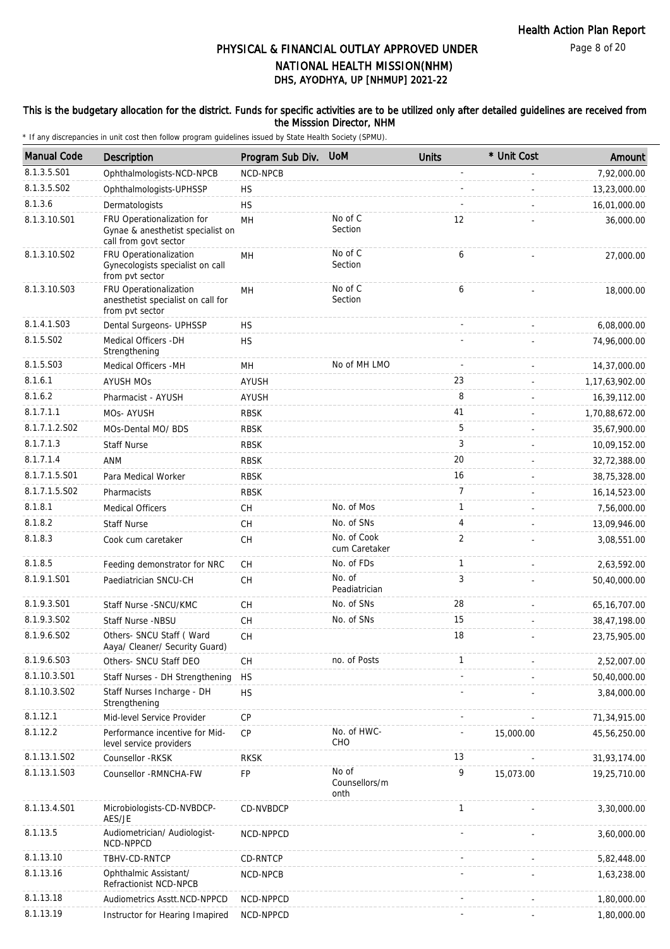#### This is the budgetary allocation for the district. Funds for specific activities are to be utilized only after detailed guidelines are received from the Misssion Director, NHM

| <b>Manual Code</b> | Description                                                                              | Program Sub Div. | <b>UoM</b>                     | <b>Units</b>   | * Unit Cost | Amount         |
|--------------------|------------------------------------------------------------------------------------------|------------------|--------------------------------|----------------|-------------|----------------|
| 8.1.3.5.S01        | Ophthalmologists-NCD-NPCB                                                                | NCD-NPCB         |                                | $\overline{a}$ |             | 7,92,000.00    |
| 8.1.3.5.SO2        | Ophthalmologists-UPHSSP                                                                  | <b>HS</b>        |                                |                |             | 13,23,000.00   |
| 8.1.3.6            | Dermatologists                                                                           | <b>HS</b>        |                                |                |             | 16,01,000.00   |
| 8.1.3.10.S01       | FRU Operationalization for<br>Gynae & anesthetist specialist on<br>call from govt sector | MH               | No of C<br>Section             | 12             |             | 36,000.00      |
| 8.1.3.10.S02       | FRU Operationalization<br>Gynecologists specialist on call<br>from pvt sector            | MH               | No of $C$<br>Section           | 6              |             | 27,000.00      |
| 8.1.3.10.S03       | FRU Operationalization<br>anesthetist specialist on call for<br>from pvt sector          | MН               | No of C<br>Section             | 6              |             | 18,000.00      |
| 8.1.4.1.S03        | Dental Surgeons- UPHSSP                                                                  | <b>HS</b>        |                                |                |             | 6,08,000.00    |
| 8.1.5.S02          | Medical Officers - DH<br>Strengthening                                                   | <b>HS</b>        |                                |                |             | 74,96,000.00   |
| 8.1.5.S03          | Medical Officers -MH                                                                     | MН               | No of MH LMO                   |                |             | 14,37,000.00   |
| 8.1.6.1            | <b>AYUSH MOS</b>                                                                         | AYUSH            |                                | 23             |             | 1,17,63,902.00 |
| 8.1.6.2            | Pharmacist - AYUSH                                                                       | <b>AYUSH</b>     |                                | 8              |             | 16,39,112.00   |
| 8.1.7.1.1          | MOs-AYUSH                                                                                | <b>RBSK</b>      |                                | 41             |             | 1,70,88,672.00 |
| 8.1.7.1.2.S02      | MOs-Dental MO/ BDS                                                                       | <b>RBSK</b>      |                                | 5              |             | 35,67,900.00   |
| 8.1.7.1.3          | <b>Staff Nurse</b>                                                                       | <b>RBSK</b>      |                                | 3              |             | 10,09,152.00   |
| 8.1.7.1.4          | ANM                                                                                      | <b>RBSK</b>      |                                | 20             |             | 32,72,388.00   |
| 8.1.7.1.5.S01      | Para Medical Worker                                                                      | <b>RBSK</b>      |                                | 16             |             | 38,75,328.00   |
| 8.1.7.1.5.S02      | Pharmacists                                                                              | <b>RBSK</b>      |                                | 7              |             | 16, 14, 523.00 |
| 8.1.8.1            | <b>Medical Officers</b>                                                                  | CH               | No. of Mos                     | $\mathbf{1}$   |             | 7,56,000.00    |
| 8.1.8.2            | <b>Staff Nurse</b>                                                                       | CH               | No. of SNs                     | 4              |             | 13,09,946.00   |
| 8.1.8.3            | Cook cum caretaker                                                                       | <b>CH</b>        | No. of Cook<br>cum Caretaker   | $\overline{2}$ |             | 3,08,551.00    |
| 8.1.8.5            | Feeding demonstrator for NRC                                                             | СH               | No. of FDs                     | $\mathbf{1}$   |             | 2,63,592.00    |
| 8.1.9.1.S01        | Paediatrician SNCU-CH                                                                    | <b>CH</b>        | No. of<br>Peadiatrician        | 3              |             | 50,40,000.00   |
| 8.1.9.3.S01        | Staff Nurse - SNCU/KMC                                                                   | СH               | No. of SNs                     | 28             |             | 65, 16, 707.00 |
| 8.1.9.3.S02        | Staff Nurse -NBSU                                                                        | <b>CH</b>        | No. of SNs                     | 15             |             | 38,47,198.00   |
| 8.1.9.6.S02        | Others- SNCU Staff (Ward<br>Aaya/ Cleaner/ Security Guard)                               | CH               |                                | 18             |             | 23,75,905.00   |
| 8.1.9.6.S03        | Others- SNCU Staff DEO                                                                   | СH               | no. of Posts                   | 1              |             | 2,52,007.00    |
| 8.1.10.3.S01       | Staff Nurses - DH Strengthening                                                          | <b>HS</b>        |                                |                |             | 50,40,000.00   |
| 8.1.10.3.S02       | Staff Nurses Incharge - DH<br>Strengthening                                              | <b>HS</b>        |                                |                |             | 3,84,000.00    |
| 8.1.12.1           | Mid-level Service Provider                                                               | CP               |                                |                |             | 71,34,915.00   |
| 8.1.12.2           | Performance incentive for Mid-<br>level service providers                                | CP               | No. of HWC-<br>CHO             |                | 15,000.00   | 45,56,250.00   |
| 8.1.13.1.S02       | Counsellor - RKSK                                                                        | <b>RKSK</b>      |                                | 13             |             | 31,93,174.00   |
| 8.1.13.1.S03       | Counsellor - RMNCHA-FW                                                                   | FP               | No of<br>Counsellors/m<br>onth | 9              | 15,073.00   | 19,25,710.00   |
| 8.1.13.4.S01       | Microbiologists-CD-NVBDCP-<br>AES/JE                                                     | CD-NVBDCP        |                                | $\mathbf{1}$   |             | 3,30,000.00    |
| 8.1.13.5           | Audiometrician/ Audiologist-<br>NCD-NPPCD                                                | NCD-NPPCD        |                                |                |             | 3,60,000.00    |
| 8.1.13.10          | TBHV-CD-RNTCP                                                                            | CD-RNTCP         |                                |                |             | 5,82,448.00    |
| 8.1.13.16          | Ophthalmic Assistant/<br>Refractionist NCD-NPCB                                          | NCD-NPCB         |                                |                |             | 1,63,238.00    |
| 8.1.13.18          | Audiometrics Asstt.NCD-NPPCD                                                             | NCD-NPPCD        |                                |                |             | 1,80,000.00    |
| 8.1.13.19          | Instructor for Hearing Imapired                                                          | NCD-NPPCD        |                                |                |             | 1,80,000.00    |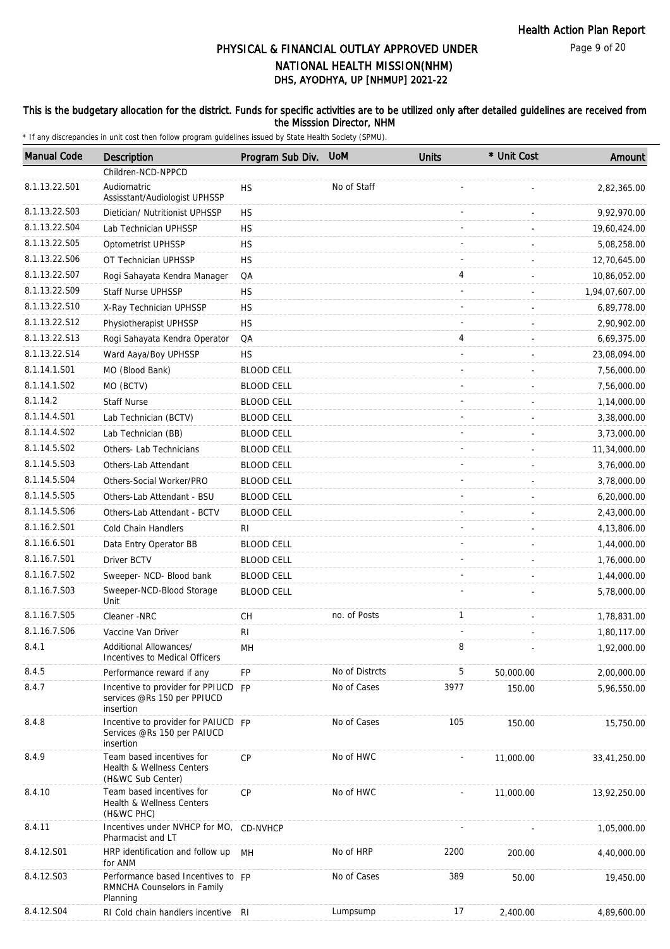Page 9 of 20

# DHS, AYODHYA, UP [NHMUP] 2021-22 PHYSICAL & FINANCIAL OUTLAY APPROVED UNDER NATIONAL HEALTH MISSION(NHM)

### This is the budgetary allocation for the district. Funds for specific activities are to be utilized only after detailed guidelines are received from the Misssion Director, NHM

| <b>Manual Code</b> | Description                                                                     | Program Sub Div.  | <b>UoM</b>     | <b>Units</b> | * Unit Cost | Amount         |
|--------------------|---------------------------------------------------------------------------------|-------------------|----------------|--------------|-------------|----------------|
|                    | Children-NCD-NPPCD                                                              |                   |                |              |             |                |
| 8.1.13.22.S01      | Audiomatric<br>Assisstant/Audiologist UPHSSP                                    | <b>HS</b>         | No of Staff    |              |             | 2,82,365.00    |
| 8.1.13.22.S03      | Dietician/ Nutritionist UPHSSP                                                  | <b>HS</b>         |                |              |             | 9,92,970.00    |
| 8.1.13.22.S04      | Lab Technician UPHSSP                                                           | <b>HS</b>         |                |              |             | 19,60,424.00   |
| 8.1.13.22.S05      | Optometrist UPHSSP                                                              | <b>HS</b>         |                |              |             | 5,08,258.00    |
| 8.1.13.22.S06      | OT Technician UPHSSP                                                            | <b>HS</b>         |                |              |             | 12,70,645.00   |
| 8.1.13.22.S07      | Rogi Sahayata Kendra Manager                                                    | QA                |                | 4            |             | 10,86,052.00   |
| 8.1.13.22.S09      | <b>Staff Nurse UPHSSP</b>                                                       | <b>HS</b>         |                |              |             | 1,94,07,607.00 |
| 8.1.13.22.S10      | X-Ray Technician UPHSSP                                                         | <b>HS</b>         |                |              |             | 6,89,778.00    |
| 8.1.13.22.S12      | Physiotherapist UPHSSP                                                          | <b>HS</b>         |                |              |             | 2,90,902.00    |
| 8.1.13.22.S13      | Rogi Sahayata Kendra Operator                                                   | QA                |                | 4            |             | 6,69,375.00    |
| 8.1.13.22.S14      | Ward Aaya/Boy UPHSSP                                                            | <b>HS</b>         |                |              |             | 23,08,094.00   |
| 8.1.14.1.S01       | MO (Blood Bank)                                                                 | <b>BLOOD CELL</b> |                |              |             | 7,56,000.00    |
| 8.1.14.1.S02       | MO (BCTV)                                                                       | <b>BLOOD CELL</b> |                |              |             | 7,56,000.00    |
| 8.1.14.2           | <b>Staff Nurse</b>                                                              | <b>BLOOD CELL</b> |                |              |             | 1,14,000.00    |
| 8.1.14.4.S01       | Lab Technician (BCTV)                                                           | <b>BLOOD CELL</b> |                |              |             | 3,38,000.00    |
| 8.1.14.4.S02       | Lab Technician (BB)                                                             | <b>BLOOD CELL</b> |                |              |             | 3,73,000.00    |
| 8.1.14.5.S02       | Others- Lab Technicians                                                         | <b>BLOOD CELL</b> |                |              |             | 11,34,000.00   |
| 8.1.14.5.S03       | Others-Lab Attendant                                                            | <b>BLOOD CELL</b> |                |              |             | 3,76,000.00    |
| 8.1.14.5.S04       | Others-Social Worker/PRO                                                        | <b>BLOOD CELL</b> |                |              |             | 3,78,000.00    |
| 8.1.14.5.S05       | Others-Lab Attendant - BSU                                                      | <b>BLOOD CELL</b> |                |              |             | 6,20,000.00    |
| 8.1.14.5.S06       | Others-Lab Attendant - BCTV                                                     | <b>BLOOD CELL</b> |                |              |             | 2,43,000.00    |
| 8.1.16.2.S01       | Cold Chain Handlers                                                             | RI.               |                |              |             | 4,13,806.00    |
| 8.1.16.6.S01       | Data Entry Operator BB                                                          | <b>BLOOD CELL</b> |                |              |             | 1,44,000.00    |
| 8.1.16.7.S01       | Driver BCTV                                                                     | <b>BLOOD CELL</b> |                |              |             | 1,76,000.00    |
| 8.1.16.7.S02       | Sweeper- NCD- Blood bank                                                        | <b>BLOOD CELL</b> |                |              |             | 1,44,000.00    |
| 8.1.16.7.S03       | Sweeper-NCD-Blood Storage                                                       | <b>BLOOD CELL</b> |                |              |             | 5,78,000.00    |
|                    | Unit                                                                            |                   |                |              |             |                |
| 8.1.16.7.S05       | Cleaner -NRC                                                                    | <b>CH</b>         | no. of Posts   | $\mathbf{1}$ |             | 1,78,831.00    |
| 8.1.16.7.S06       | Vaccine Van Driver                                                              | <b>RI</b>         |                |              |             | 1,80,117.00    |
| 8.4.1              | Additional Allowances/<br>Incentives to Medical Officers                        | MH                |                | 8            |             | 1,92,000.00    |
| 8.4.5              | Performance reward if any                                                       | <b>FP</b>         | No of Distrcts | 5            | 50,000.00   | 2,00,000.00    |
| 8.4.7              | Incentive to provider for PPIUCD FP<br>services @Rs 150 per PPIUCD<br>insertion |                   | No of Cases    | 3977         | 150.00      | 5,96,550.00    |
| 8.4.8              | Incentive to provider for PAIUCD FP<br>Services @Rs 150 per PAIUCD<br>insertion |                   | No of Cases    | 105          | 150.00      | 15,750.00      |
| 8.4.9              | Team based incentives for<br>Health & Wellness Centers<br>(H&WC Sub Center)     | <b>CP</b>         | No of HWC      |              | 11,000.00   | 33,41,250.00   |
| 8.4.10             | Team based incentives for<br>Health & Wellness Centers<br>(H&WC PHC)            | CP                | No of HWC      |              | 11,000.00   | 13,92,250.00   |
| 8.4.11             | Incentives under NVHCP for MO, CD-NVHCP<br>Pharmacist and LT                    |                   |                |              |             | 1,05,000.00    |
| 8.4.12.S01         | HRP identification and follow up<br>for ANM                                     | MН                | No of HRP      | 2200         | 200.00      | 4,40,000.00    |
| 8.4.12.S03         | Performance based Incentives to FP<br>RMNCHA Counselors in Family<br>Planning   |                   | No of Cases    | 389          | 50.00       | 19,450.00      |
| 8.4.12.S04         | RI Cold chain handlers incentive RI                                             |                   | Lumpsump       | 17           | 2,400.00    | 4,89,600.00    |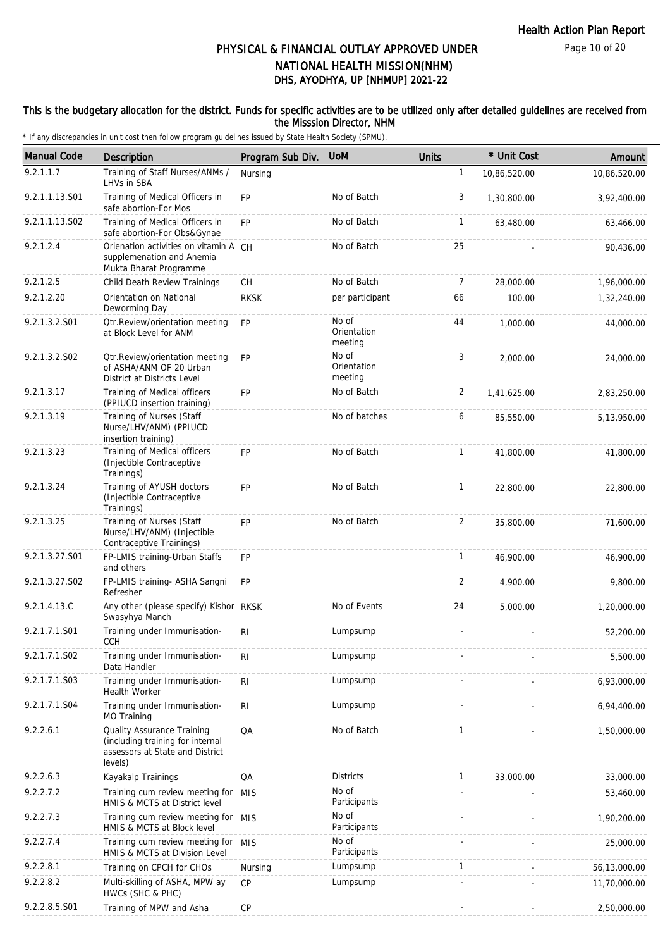Page 10 of 20

# DHS, AYODHYA, UP [NHMUP] 2021-22 PHYSICAL & FINANCIAL OUTLAY APPROVED UNDER NATIONAL HEALTH MISSION(NHM)

### This is the budgetary allocation for the district. Funds for specific activities are to be utilized only after detailed guidelines are received from the Misssion Director, NHM

| <b>Manual Code</b> | <b>Description</b>                                                                                           | Program Sub Div. | <b>UoM</b>                      | <b>Units</b>   | * Unit Cost  | Amount       |
|--------------------|--------------------------------------------------------------------------------------------------------------|------------------|---------------------------------|----------------|--------------|--------------|
| 9.2.1.1.7          | Training of Staff Nurses/ANMs /<br>LHVs in SBA                                                               | Nursing          |                                 | $\mathbf{1}$   | 10,86,520.00 | 10,86,520.00 |
| 9.2.1.1.13.S01     | Training of Medical Officers in<br>safe abortion-For Mos                                                     | <b>FP</b>        | No of Batch                     | 3              | 1,30,800.00  | 3,92,400.00  |
| 9.2.1.1.13.S02     | Training of Medical Officers in<br>safe abortion-For Obs&Gynae                                               | FP               | No of Batch                     | $\mathbf{1}$   | 63,480.00    | 63,466.00    |
| 9.2.1.2.4          | Orienation activities on vitamin A CH<br>supplemenation and Anemia<br>Mukta Bharat Programme                 |                  | No of Batch                     | 25             |              | 90,436.00    |
| 9.2.1.2.5          | Child Death Review Trainings                                                                                 | CH               | No of Batch                     | $\overline{7}$ | 28,000.00    | 1,96,000.00  |
| 9.2.1.2.20         | Orientation on National<br>Deworming Day                                                                     | <b>RKSK</b>      | per participant                 | 66             | 100.00       | 1,32,240.00  |
| 9.2.1.3.2.S01      | Otr.Review/orientation meeting<br>at Block Level for ANM                                                     | <b>FP</b>        | No of<br>Orientation<br>meeting | 44             | 1,000.00     | 44,000.00    |
| 9.2.1.3.2.S02      | Otr.Review/orientation meeting<br>of ASHA/ANM OF 20 Urban<br>District at Districts Level                     | <b>FP</b>        | No of<br>Orientation<br>meeting | 3              | 2,000.00     | 24,000.00    |
| 9.2.1.3.17         | Training of Medical officers<br>(PPIUCD insertion training)                                                  | <b>FP</b>        | No of Batch                     | 2              | 1,41,625.00  | 2,83,250.00  |
| 9.2.1.3.19         | Training of Nurses (Staff<br>Nurse/LHV/ANM) (PPIUCD<br>insertion training)                                   |                  | No of batches                   | 6              | 85,550.00    | 5,13,950.00  |
| 9.2.1.3.23         | Training of Medical officers<br>(Injectible Contraceptive<br>Trainings)                                      | <b>FP</b>        | No of Batch                     | $\mathbf{1}$   | 41,800.00    | 41,800.00    |
| 9.2.1.3.24         | Training of AYUSH doctors<br>(Injectible Contraceptive<br>Trainings)                                         | <b>FP</b>        | No of Batch                     | $\mathbf{1}$   | 22,800.00    | 22,800.00    |
| 9.2.1.3.25         | Training of Nurses (Staff<br>Nurse/LHV/ANM) (Injectible<br>Contraceptive Trainings)                          | <b>FP</b>        | No of Batch                     | 2              | 35,800.00    | 71,600.00    |
| 9.2.1.3.27.S01     | FP-LMIS training-Urban Staffs<br>and others                                                                  | <b>FP</b>        |                                 | $\mathbf{1}$   | 46,900.00    | 46,900.00    |
| 9.2.1.3.27.S02     | FP-LMIS training- ASHA Sangni<br>Refresher                                                                   | <b>FP</b>        |                                 | 2              | 4,900.00     | 9,800.00     |
| 9.2.1.4.13.C       | Any other (please specify) Kishor RKSK<br>Swasyhya Manch                                                     |                  | No of Events                    | 24             | 5,000.00     | 1,20,000.00  |
| 9.2.1.7.1.S01      | Training under Immunisation-<br><b>CCH</b>                                                                   | R <sub>1</sub>   | Lumpsump                        |                |              | 52,200.00    |
| 9.2.1.7.1.S02      | Training under Immunisation-<br>Data Handler                                                                 | <b>RI</b>        | Lumpsump                        |                |              | 5,500.00     |
| 9.2.1.7.1.S03      | Training under Immunisation-<br><b>Health Worker</b>                                                         | $\mathsf{RI}$    | Lumpsump                        |                |              | 6,93,000.00  |
| 9.2.1.7.1.S04      | Training under Immunisation-<br>MO Training                                                                  | R <sub>l</sub>   | Lumpsump                        |                |              | 6,94,400.00  |
| 9.2.2.6.1          | Quality Assurance Training<br>(including training for internal<br>assessors at State and District<br>levels) | QA               | No of Batch                     | $\mathbf{1}$   |              | 1,50,000.00  |
| 9.2.2.6.3          | Kayakalp Trainings                                                                                           | QA               | <b>Districts</b>                | $\mathbf{1}$   | 33,000.00    | 33,000.00    |
| 9.2.2.7.2          | Training cum review meeting for MIS<br>HMIS & MCTS at District level                                         |                  | No of<br>Participants           |                |              | 53,460.00    |
| 9.2.2.7.3          | Training cum review meeting for MIS<br>HMIS & MCTS at Block level                                            |                  | No of<br>Participants           |                |              | 1,90,200.00  |
| 9.2.2.7.4          | Training cum review meeting for MIS<br>HMIS & MCTS at Division Level                                         |                  | No of<br>Participants           |                |              | 25,000.00    |
| 9.2.2.8.1          | Training on CPCH for CHOs                                                                                    | Nursing          | Lumpsump                        | $\mathbf{1}$   |              | 56,13,000.00 |
| 9.2.2.8.2          | Multi-skilling of ASHA, MPW ay<br>HWCs (SHC & PHC)                                                           | <b>CP</b>        | Lumpsump                        |                |              | 11,70,000.00 |
| 9.2.2.8.5.S01      | Training of MPW and Asha                                                                                     | CP               |                                 |                |              | 2,50,000.00  |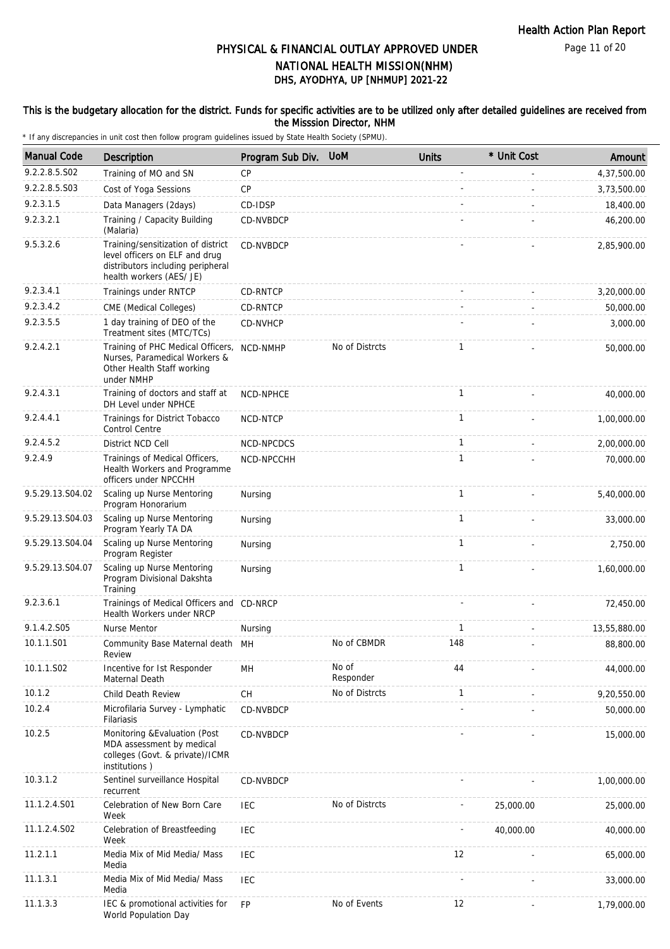Page 11 of 20

# DHS, AYODHYA, UP [NHMUP] 2021-22 PHYSICAL & FINANCIAL OUTLAY APPROVED UNDER NATIONAL HEALTH MISSION(NHM)

#### This is the budgetary allocation for the district. Funds for specific activities are to be utilized only after detailed guidelines are received from the Misssion Director, NHM

| <b>Manual Code</b> | Description                                                                                                                           | Program Sub Div. | <b>UoM</b>         | <b>Units</b> | * Unit Cost | Amount       |
|--------------------|---------------------------------------------------------------------------------------------------------------------------------------|------------------|--------------------|--------------|-------------|--------------|
| 9.2.2.8.5.S02      | Training of MO and SN                                                                                                                 | CP               |                    |              |             | 4,37,500.00  |
| 9.2.2.8.5.S03      | Cost of Yoga Sessions                                                                                                                 | <b>CP</b>        |                    |              |             | 3,73,500.00  |
| 9.2.3.1.5          | Data Managers (2days)                                                                                                                 | CD-IDSP          |                    |              |             | 18,400.00    |
| 9.2.3.2.1          | Training / Capacity Building<br>(Malaria)                                                                                             | CD-NVBDCP        |                    |              |             | 46,200.00    |
| 9.5.3.2.6          | Training/sensitization of district<br>level officers on ELF and drug<br>distributors including peripheral<br>health workers (AES/ JE) | CD-NVBDCP        |                    |              |             | 2,85,900.00  |
| 9.2.3.4.1          | Trainings under RNTCP                                                                                                                 | CD-RNTCP         |                    |              |             | 3,20,000.00  |
| 9.2.3.4.2          | CME (Medical Colleges)                                                                                                                | CD-RNTCP         |                    |              |             | 50,000.00    |
| 9.2.3.5.5          | 1 day training of DEO of the<br>Treatment sites (MTC/TCs)                                                                             | CD-NVHCP         |                    |              |             | 3,000.00     |
| 9.2.4.2.1          | Training of PHC Medical Officers,<br>Nurses, Paramedical Workers &<br>Other Health Staff working<br>under NMHP                        | NCD-NMHP         | No of Distrcts     | $\mathbf{1}$ |             | 50,000.00    |
| 9.2.4.3.1          | Training of doctors and staff at<br>DH Level under NPHCE                                                                              | NCD-NPHCE        |                    | $\mathbf{1}$ |             | 40,000.00    |
| 9.2.4.4.1          | Trainings for District Tobacco<br><b>Control Centre</b>                                                                               | NCD-NTCP         |                    | 1            |             | 1,00,000.00  |
| 9.2.4.5.2          | District NCD Cell                                                                                                                     | NCD-NPCDCS       |                    | $\mathbf{1}$ |             | 2,00,000.00  |
| 9.2.4.9            | Trainings of Medical Officers,<br>Health Workers and Programme<br>officers under NPCCHH                                               | NCD-NPCCHH       |                    | 1            |             | 70,000.00    |
| 9.5.29.13.S04.02   | Scaling up Nurse Mentoring<br>Program Honorarium                                                                                      | Nursing          |                    | $\mathbf{1}$ |             | 5,40,000.00  |
| 9.5.29.13.S04.03   | Scaling up Nurse Mentoring<br>Program Yearly TA DA                                                                                    | Nursing          |                    | $\mathbf{1}$ |             | 33,000.00    |
| 9.5.29.13.S04.04   | Scaling up Nurse Mentoring<br>Program Register                                                                                        | Nursing          |                    | $\mathbf{1}$ |             | 2,750.00     |
| 9.5.29.13.S04.07   | Scaling up Nurse Mentoring<br>Program Divisional Dakshta<br>Training                                                                  | Nursing          |                    | $\mathbf{1}$ |             | 1,60,000.00  |
| 9.2.3.6.1          | Trainings of Medical Officers and CD-NRCP<br>Health Workers under NRCP                                                                |                  |                    |              |             | 72,450.00    |
| 9.1.4.2.S05        | <b>Nurse Mentor</b>                                                                                                                   | Nursing          |                    | 1            |             | 13,55,880.00 |
| 10.1.1.S01         | Community Base Maternal death MH<br>Review                                                                                            |                  | No of CBMDR        | 148          |             | 88,800.00    |
| 10.1.1.S02         | Incentive for 1st Responder<br>Maternal Death                                                                                         | MН               | No of<br>Responder | 44           |             | 44,000.00    |
| 10.1.2             | Child Death Review                                                                                                                    | CH               | No of Distrcts     | $\mathbf{1}$ |             | 9,20,550.00  |
| 10.2.4             | Microfilaria Survey - Lymphatic<br>Filariasis                                                                                         | CD-NVBDCP        |                    |              |             | 50,000.00    |
| 10.2.5             | Monitoring & Evaluation (Post<br>MDA assessment by medical<br>colleges (Govt. & private)/ICMR<br>institutions)                        | CD-NVBDCP        |                    |              |             | 15,000.00    |
| 10.3.1.2           | Sentinel surveillance Hospital<br>recurrent                                                                                           | CD-NVBDCP        |                    |              |             | 1.00.000.00  |
| 11.1.2.4.S01       | Celebration of New Born Care<br>Week                                                                                                  | <b>IEC</b>       | No of Distrcts     |              | 25,000.00   | 25,000.00    |
| 11.1.2.4.S02       | Celebration of Breastfeeding<br>Week                                                                                                  | <b>IEC</b>       |                    |              | 40,000.00   | 40,000.00    |
| 11.2.1.1           | Media Mix of Mid Media/ Mass<br>Media                                                                                                 | <b>IEC</b>       |                    | 12           |             | 65,000.00    |
| 11.1.3.1           | Media Mix of Mid Media/ Mass<br>Media                                                                                                 | <b>IEC</b>       |                    |              |             | 33,000.00    |
| 11.1.3.3           | IEC & promotional activities for<br>World Population Day                                                                              | FP               | No of Events       | 12           |             | 1,79,000.00  |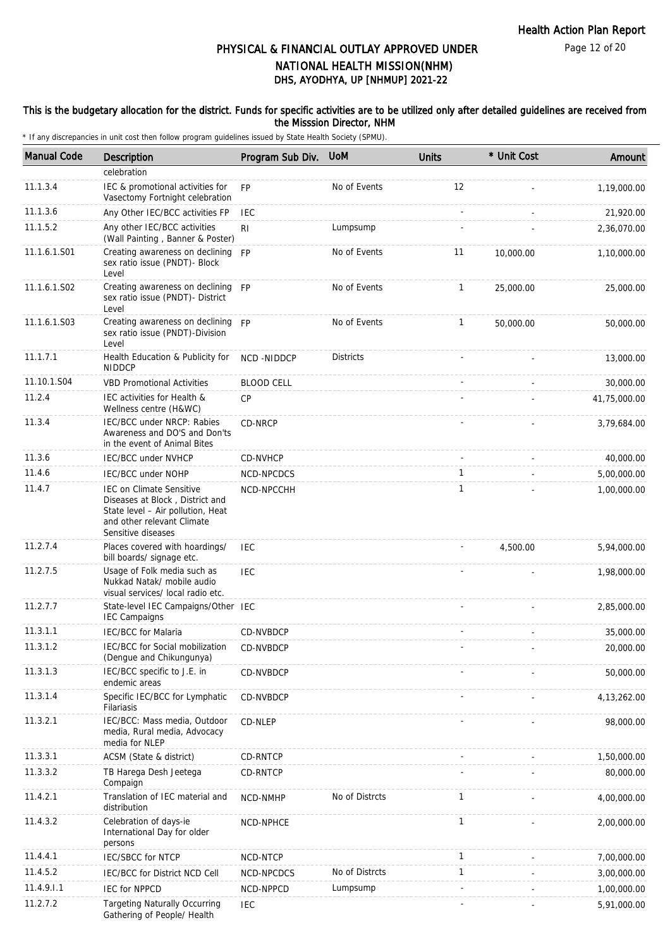Page 12 of 20

# DHS, AYODHYA, UP [NHMUP] 2021-22 PHYSICAL & FINANCIAL OUTLAY APPROVED UNDER NATIONAL HEALTH MISSION(NHM)

### This is the budgetary allocation for the district. Funds for specific activities are to be utilized only after detailed guidelines are received from the Misssion Director, NHM

| <b>Manual Code</b> | <b>Description</b>                                                                                                                                          | Program Sub Div.  | <b>UoM</b>       | <b>Units</b> | * Unit Cost | Amount        |
|--------------------|-------------------------------------------------------------------------------------------------------------------------------------------------------------|-------------------|------------------|--------------|-------------|---------------|
|                    | celebration                                                                                                                                                 |                   |                  |              |             |               |
| 11.1.3.4           | IEC & promotional activities for<br>Vasectomy Fortnight celebration                                                                                         | <b>FP</b>         | No of Events     | 12           |             | 1,19,000.00   |
| 11.1.3.6           | Any Other IEC/BCC activities FP                                                                                                                             | <b>IEC</b>        |                  |              |             | 21,920.00     |
| 11.1.5.2           | Any other IEC/BCC activities<br>(Wall Painting, Banner & Poster)                                                                                            | R <sub>l</sub>    | Lumpsump         |              |             | 2,36,070.00   |
| 11.1.6.1.S01       | Creating awareness on declining<br>sex ratio issue (PNDT)- Block<br>Level                                                                                   | <b>FP</b>         | No of Events     | 11           | 10,000.00   | 1,10,000.00   |
| 11.1.6.1.S02       | Creating awareness on declining FP<br>sex ratio issue (PNDT)- District<br>Level                                                                             |                   | No of Events     | $\mathbf{1}$ | 25,000.00   | 25,000.00     |
| 11.1.6.1.S03       | Creating awareness on declining FP<br>sex ratio issue (PNDT)-Division<br>Level                                                                              |                   | No of Events     | $\mathbf{1}$ | 50,000.00   | 50,000.00     |
| 11.1.7.1           | Health Education & Publicity for<br><b>NIDDCP</b>                                                                                                           | NCD-NIDDCP        | <b>Districts</b> |              |             | 13,000.00     |
| 11.10.1.S04        | <b>VBD Promotional Activities</b>                                                                                                                           | <b>BLOOD CELL</b> |                  |              |             | 30,000.00     |
| 11.2.4             | IEC activities for Health &<br>Wellness centre (H&WC)                                                                                                       | <b>CP</b>         |                  |              |             | 41,75,000.00  |
| 11.3.4             | IEC/BCC under NRCP: Rabies<br>Awareness and DO'S and Don'ts<br>in the event of Animal Bites                                                                 | CD-NRCP           |                  |              |             | 3,79,684.00   |
| 11.3.6             | <b>IEC/BCC under NVHCP</b>                                                                                                                                  | CD-NVHCP          |                  |              |             | 40,000.00     |
| 11.4.6             | IEC/BCC under NOHP                                                                                                                                          | NCD-NPCDCS        |                  | 1            |             | 5,00,000.00   |
| 11.4.7             | <b>IEC on Climate Sensitive</b><br>Diseases at Block, District and<br>State level - Air pollution, Heat<br>and other relevant Climate<br>Sensitive diseases | NCD-NPCCHH        |                  | $\mathbf{1}$ |             | 1,00,000.00   |
| 11.2.7.4           | Places covered with hoardings/<br>bill boards/ signage etc.                                                                                                 | IEC               |                  |              | 4,500.00    | 5,94,000.00   |
| 11.2.7.5           | Usage of Folk media such as<br>Nukkad Natak/ mobile audio<br>visual services/ local radio etc.                                                              | <b>IEC</b>        |                  |              |             | 1,98,000.00   |
| 11.2.7.7           | State-level IEC Campaigns/Other IEC<br><b>IEC Campaigns</b>                                                                                                 |                   |                  |              |             | 2,85,000.00   |
| 11.3.1.1           | <b>IEC/BCC</b> for Malaria                                                                                                                                  | CD-NVBDCP         |                  |              |             | 35,000.00     |
| 11.3.1.2           | IEC/BCC for Social mobilization<br>(Dengue and Chikungunya)                                                                                                 | CD-NVBDCP         |                  |              |             | 20,000.00     |
| 11.3.1.3           | IEC/BCC specific to J.E. in<br>endemic areas                                                                                                                | CD-NVBDCP         |                  |              |             | 50,000.00     |
| 11.3.1.4           | Specific IEC/BCC for Lymphatic<br>Filariasis                                                                                                                | CD-NVBDCP         |                  |              |             | 4, 13, 262.00 |
| 11.3.2.1           | IEC/BCC: Mass media, Outdoor<br>media, Rural media, Advocacy<br>media for NLEP                                                                              | CD-NLEP           |                  |              |             | 98,000.00     |
| 11.3.3.1           | ACSM (State & district)                                                                                                                                     | CD-RNTCP          |                  |              |             | 1,50,000.00   |
| 11.3.3.2           | TB Harega Desh Jeetega<br>Compaign                                                                                                                          | CD-RNTCP          |                  |              |             | 80,000.00     |
| 11.4.2.1           | Translation of IEC material and<br>distribution                                                                                                             | NCD-NMHP          | No of Distrcts   | $\mathbf{1}$ |             | 4,00,000.00   |
| 11.4.3.2           | Celebration of days-ie<br>International Day for older<br>persons                                                                                            | NCD-NPHCE         |                  | $\mathbf{1}$ |             | 2,00,000.00   |
| 11.4.4.1           | <b>IEC/SBCC for NTCP</b>                                                                                                                                    | NCD-NTCP          |                  | $\mathbf{1}$ |             | 7,00,000.00   |
| 11.4.5.2           | IEC/BCC for District NCD Cell                                                                                                                               | NCD-NPCDCS        | No of Distrcts   | $\mathbf{1}$ |             | 3,00,000.00   |
| 11.4.9.1.1         | <b>IEC for NPPCD</b>                                                                                                                                        | NCD-NPPCD         | Lumpsump         |              |             | 1,00,000.00   |
| 11.2.7.2           | <b>Targeting Naturally Occurring</b><br>Gathering of People/ Health                                                                                         | <b>IEC</b>        |                  |              |             | 5,91,000.00   |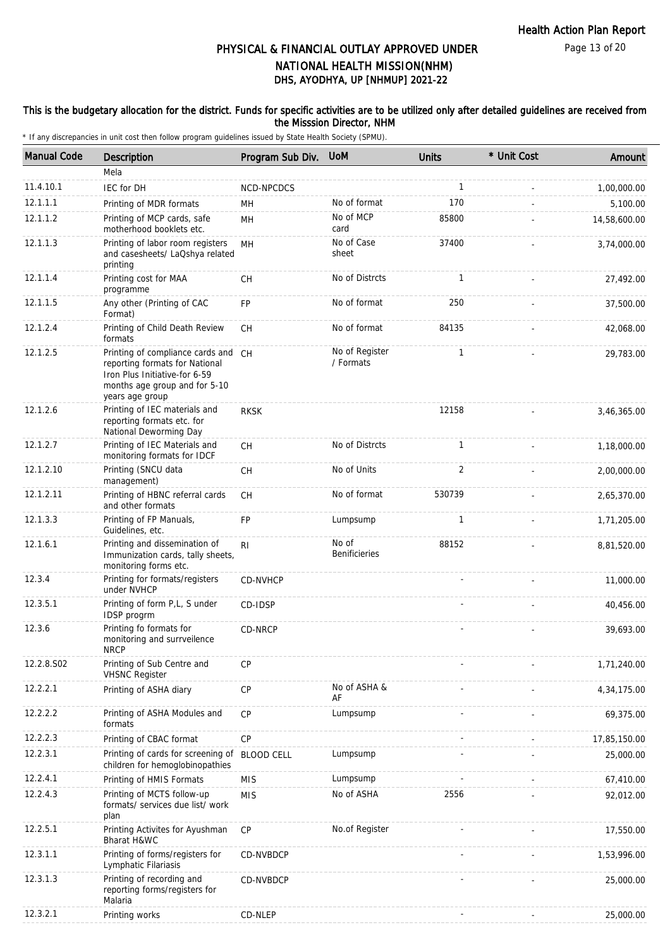Page 13 of 20

# DHS, AYODHYA, UP [NHMUP] 2021-22 PHYSICAL & FINANCIAL OUTLAY APPROVED UNDER NATIONAL HEALTH MISSION(NHM)

### This is the budgetary allocation for the district. Funds for specific activities are to be utilized only after detailed guidelines are received from the Misssion Director, NHM

| <b>Manual Code</b> | <b>Description</b>                                                                                                                                         | Program Sub Div.  | <b>UoM</b>                  | <b>Units</b> | * Unit Cost | Amount       |
|--------------------|------------------------------------------------------------------------------------------------------------------------------------------------------------|-------------------|-----------------------------|--------------|-------------|--------------|
|                    | Mela                                                                                                                                                       |                   |                             |              |             |              |
| 11.4.10.1          | IEC for DH                                                                                                                                                 | NCD-NPCDCS        |                             | $\mathbf{1}$ |             | 1,00,000.00  |
| 12.1.1.1           | Printing of MDR formats                                                                                                                                    | MН                | No of format                | 170          |             | 5,100.00     |
| 12.1.1.2           | Printing of MCP cards, safe<br>motherhood booklets etc.                                                                                                    | MH                | No of MCP<br>card           | 85800        |             | 14,58,600.00 |
| 12.1.1.3           | Printing of labor room registers<br>and casesheets/ LaQshya related<br>printing                                                                            | MH                | No of Case<br>sheet         | 37400        |             | 3,74,000.00  |
| 12.1.1.4           | Printing cost for MAA<br>programme                                                                                                                         | <b>CH</b>         | No of Distrcts              | 1            |             | 27,492.00    |
| 12.1.1.5           | Any other (Printing of CAC<br>Format)                                                                                                                      | FP                | No of format                | 250          |             | 37,500.00    |
| 12.1.2.4           | Printing of Child Death Review<br>formats                                                                                                                  | <b>CH</b>         | No of format                | 84135        |             | 42,068.00    |
| 12.1.2.5           | Printing of compliance cards and CH<br>reporting formats for National<br>Iron Plus Initiative-for 6-59<br>months age group and for 5-10<br>years age group |                   | No of Register<br>/ Formats | $\mathbf{1}$ |             | 29,783.00    |
| 12.1.2.6           | Printing of IEC materials and<br>reporting formats etc. for<br>National Deworming Day                                                                      | <b>RKSK</b>       |                             | 12158        |             | 3,46,365.00  |
| 12.1.2.7           | Printing of IEC Materials and<br>monitoring formats for IDCF                                                                                               | CН                | No of Distrcts              | 1            |             | 1,18,000.00  |
| 12.1.2.10          | Printing (SNCU data<br>management)                                                                                                                         | CH                | No of Units                 | 2            |             | 2,00,000.00  |
| 12.1.2.11          | Printing of HBNC referral cards<br>and other formats                                                                                                       | <b>CH</b>         | No of format                | 530739       |             | 2,65,370.00  |
| 12.1.3.3           | Printing of FP Manuals,<br>Guidelines, etc.                                                                                                                | FP                | Lumpsump                    | 1            |             | 1,71,205.00  |
| 12.1.6.1           | Printing and dissemination of<br>Immunization cards, tally sheets,<br>monitoring forms etc.                                                                | R <sub>l</sub>    | No of<br>Benificieries      | 88152        |             | 8,81,520.00  |
| 12.3.4             | Printing for formats/registers<br>under NVHCP                                                                                                              | CD-NVHCP          |                             |              |             | 11,000.00    |
| 12.3.5.1           | Printing of form P,L, S under<br>IDSP progrm                                                                                                               | CD-IDSP           |                             |              |             | 40,456.00    |
| 12.3.6             | Printing fo formats for<br>monitoring and surrveilence<br><b>NRCP</b>                                                                                      | CD-NRCP           |                             |              |             | 39,693.00    |
| 12.2.8.S02         | Printing of Sub Centre and<br><b>VHSNC Register</b>                                                                                                        | <b>CP</b>         |                             |              |             | 1,71,240.00  |
| 12.2.2.1           | Printing of ASHA diary                                                                                                                                     | CP                | No of ASHA &<br>AF          |              |             | 4,34,175.00  |
| 12.2.2.2           | Printing of ASHA Modules and<br>formats                                                                                                                    | CP                | Lumpsump                    |              |             | 69,375.00    |
| 12.2.2.3           | Printing of CBAC format                                                                                                                                    | CP                |                             |              |             | 17,85,150.00 |
| 12.2.3.1           | Printing of cards for screening of<br>children for hemoglobinopathies                                                                                      | <b>BLOOD CELL</b> | Lumpsump                    |              |             | 25,000.00    |
| 12.2.4.1           | Printing of HMIS Formats                                                                                                                                   | <b>MIS</b>        | Lumpsump                    |              |             | 67,410.00    |
| 12.2.4.3           | Printing of MCTS follow-up<br>formats/ services due list/ work<br>plan                                                                                     | <b>MIS</b>        | No of ASHA                  | 2556         |             | 92,012.00    |
| 12.2.5.1           | Printing Activites for Ayushman<br>Bharat H&WC                                                                                                             | <b>CP</b>         | No.of Register              |              |             | 17,550.00    |
| 12.3.1.1           | Printing of forms/registers for<br>Lymphatic Filariasis                                                                                                    | CD-NVBDCP         |                             |              |             | 1,53,996.00  |
| 12.3.1.3           | Printing of recording and<br>reporting forms/registers for<br>Malaria                                                                                      | CD-NVBDCP         |                             |              |             | 25,000.00    |
| 12.3.2.1           | Printing works                                                                                                                                             | CD-NLEP           |                             |              |             | 25,000.00    |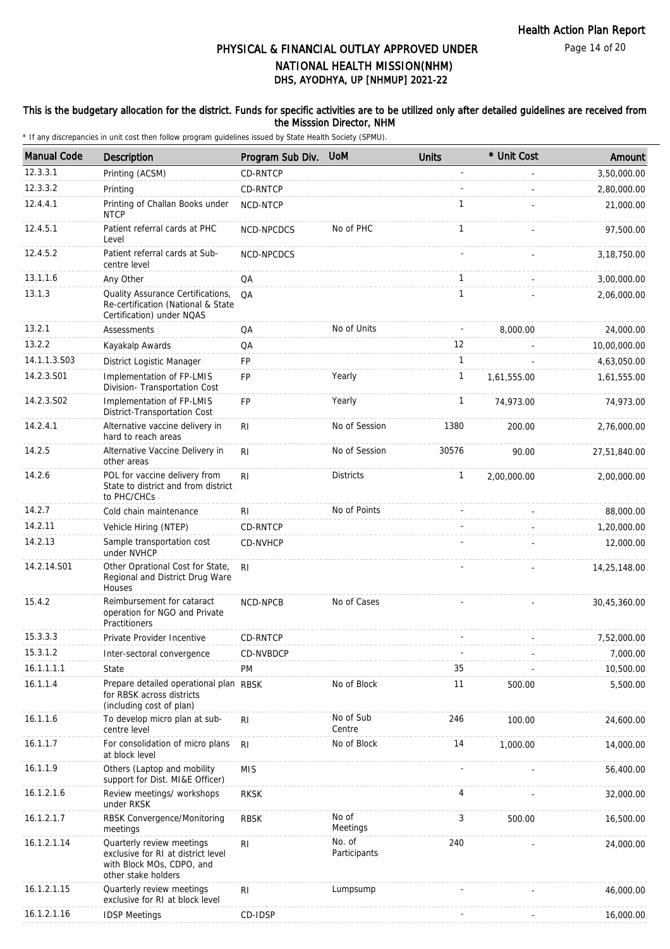Page 14 of 20

# DHS, AYODHYA, UP [NHMUP] 2021-22 PHYSICAL & FINANCIAL OUTLAY APPROVED UNDER NATIONAL HEALTH MISSION(NHM)

### This is the budgetary allocation for the district. Funds for specific activities are to be utilized only after detailed guidelines are received from the Misssion Director, NHM

| <b>Manual Code</b> | <b>Description</b>                                                                                                  | Program Sub Div. | <b>UoM</b>             | <b>Units</b>   | * Unit Cost | Amount        |
|--------------------|---------------------------------------------------------------------------------------------------------------------|------------------|------------------------|----------------|-------------|---------------|
| 12.3.3.1           | Printing (ACSM)                                                                                                     | CD-RNTCP         |                        | $\overline{a}$ |             | 3,50,000.00   |
| 12.3.3.2           | Printing                                                                                                            | CD-RNTCP         |                        |                |             | 2,80,000.00   |
| 12.4.4.1           | Printing of Challan Books under<br><b>NTCP</b>                                                                      | NCD-NTCP         |                        | 1              |             | 21,000.00     |
| 12.4.5.1           | Patient referral cards at PHC<br>Level                                                                              | NCD-NPCDCS       | No of PHC              | 1              |             | 97,500.00     |
| 12.4.5.2           | Patient referral cards at Sub-<br>centre level                                                                      | NCD-NPCDCS       |                        |                |             | 3, 18, 750.00 |
| 13.1.1.6           | Any Other                                                                                                           | QA               |                        | $\mathbf{1}$   |             | 3,00,000.00   |
| 13.1.3             | Quality Assurance Certifications,<br>Re-certification (National & State<br>Certification) under NQAS                | QA               |                        | $\mathbf{1}$   |             | 2,06,000.00   |
| 13.2.1             | Assessments                                                                                                         | QA               | No of Units            |                | 8,000.00    | 24,000.00     |
| 13.2.2             | Kayakalp Awards                                                                                                     | QA               |                        | 12             |             | 10,00,000.00  |
| 14.1.1.3.S03       | District Logistic Manager                                                                                           | <b>FP</b>        |                        | 1              |             | 4,63,050.00   |
| 14.2.3.S01         | Implementation of FP-LMIS<br>Division- Transportation Cost                                                          | FP               | Yearly                 | 1              | 1,61,555.00 | 1,61,555.00   |
| 14.2.3.S02         | Implementation of FP-LMIS<br>District-Transportation Cost                                                           | <b>FP</b>        | Yearly                 | 1              | 74,973.00   | 74,973.00     |
| 14.2.4.1           | Alternative vaccine delivery in<br>hard to reach areas                                                              | R <sub>l</sub>   | No of Session          | 1380           | 200.00      | 2,76,000.00   |
| 14.2.5             | Alternative Vaccine Delivery in<br>other areas                                                                      | R <sub>l</sub>   | No of Session          | 30576          | 90.00       | 27,51,840.00  |
| 14.2.6             | POL for vaccine delivery from<br>State to district and from district<br>to PHC/CHCs                                 | RI               | <b>Districts</b>       | $\mathbf{1}$   | 2,00,000.00 | 2,00,000.00   |
| 14.2.7             | Cold chain maintenance                                                                                              | RI               | No of Points           |                |             | 88,000.00     |
| 14.2.11            | Vehicle Hiring (NTEP)                                                                                               | CD-RNTCP         |                        |                |             | 1,20,000.00   |
| 14.2.13            | Sample transportation cost<br>under NVHCP                                                                           | CD-NVHCP         |                        |                |             | 12,000.00     |
| 14.2.14.S01        | Other Oprational Cost for State,<br>Regional and District Drug Ware<br>Houses                                       | RI.              |                        |                |             | 14,25,148.00  |
| 15.4.2             | Reimbursement for cataract<br>operation for NGO and Private<br>Practitioners                                        | <b>NCD-NPCB</b>  | No of Cases            |                |             | 30,45,360.00  |
| 15.3.3.3           | Private Provider Incentive                                                                                          | CD-RNTCP         |                        |                |             | 7,52,000.00   |
| 15.3.1.2           | Inter-sectoral convergence                                                                                          | CD-NVBDCP        |                        |                |             | 7,000.00      |
| 16.1.1.1.1         | State                                                                                                               | <b>PM</b>        |                        | 35             |             | 10,500.00     |
| 16.1.1.4           | Prepare detailed operational plan RBSK<br>for RBSK across districts<br>(including cost of plan)                     |                  | No of Block            | 11             | 500.00      | 5,500.00      |
| 16.1.1.6           | To develop micro plan at sub-<br>centre level                                                                       | RI               | No of Sub<br>Centre    | 246            | 100.00      | 24,600.00     |
| 16.1.1.7           | For consolidation of micro plans<br>at block level                                                                  | R <sub>l</sub>   | No of Block            | 14             | 1,000.00    | 14,000.00     |
| 16.1.1.9           | Others (Laptop and mobility<br>support for Dist. MI&E Officer)                                                      | <b>MIS</b>       |                        |                |             | 56,400.00     |
| 16.1.2.1.6         | Review meetings/ workshops<br>under RKSK                                                                            | <b>RKSK</b>      |                        | 4              |             | 32,000.00     |
| 16.1.2.1.7         | RBSK Convergence/Monitoring<br>meetings                                                                             | <b>RBSK</b>      | No of<br>Meetings      | 3              | 500.00      | 16,500.00     |
| 16.1.2.1.14        | Quarterly review meetings<br>exclusive for RI at district level<br>with Block MOs, CDPO, and<br>other stake holders | RI               | No. of<br>Participants | 240            |             | 24,000.00     |
| 16.1.2.1.15        | Quarterly review meetings<br>exclusive for RI at block level                                                        | RI               | Lumpsump               |                |             | 46,000.00     |
| 16.1.2.1.16        | <b>IDSP Meetings</b>                                                                                                | CD-IDSP          |                        |                |             | 16,000.00     |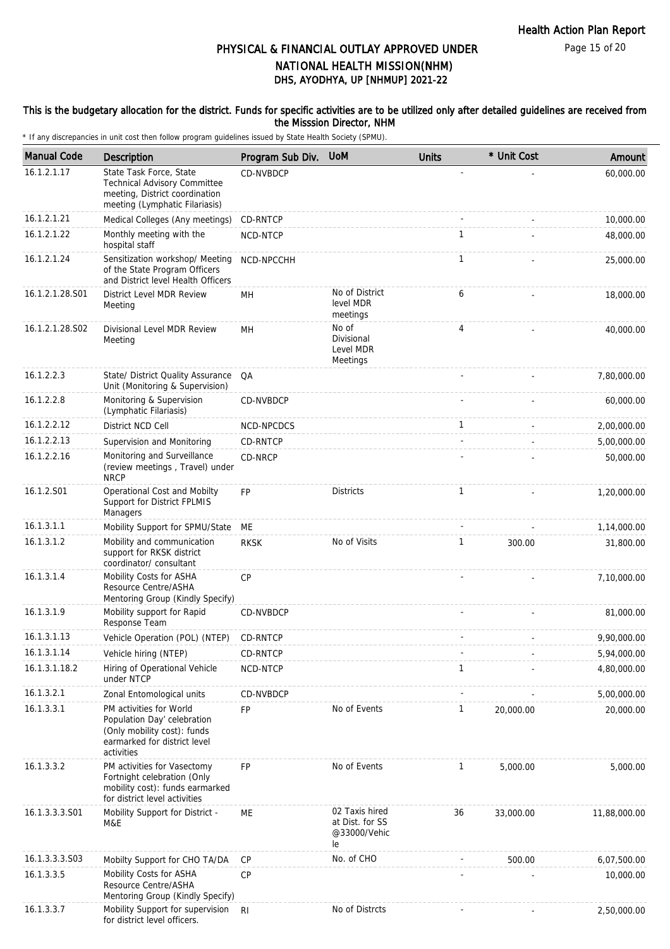Page 15 of 20

### DHS, AYODHYA, UP [NHMUP] 2021-22 PHYSICAL & FINANCIAL OUTLAY APPROVED UNDER NATIONAL HEALTH MISSION(NHM)

#### This is the budgetary allocation for the district. Funds for specific activities are to be utilized only after detailed guidelines are received from the Misssion Director, NHM

| <b>Manual Code</b> | Description                                                                                                                         | Program Sub Div. | <b>UoM</b>                                              | <b>Units</b>   | * Unit Cost | Amount       |
|--------------------|-------------------------------------------------------------------------------------------------------------------------------------|------------------|---------------------------------------------------------|----------------|-------------|--------------|
| 16.1.2.1.17        | State Task Force, State<br><b>Technical Advisory Committee</b><br>meeting, District coordination<br>meeting (Lymphatic Filariasis)  | CD-NVBDCP        |                                                         |                |             | 60,000.00    |
| 16.1.2.1.21        | Medical Colleges (Any meetings)                                                                                                     | CD-RNTCP         |                                                         |                |             | 10,000.00    |
| 16.1.2.1.22        | Monthly meeting with the<br>hospital staff                                                                                          | NCD-NTCP         |                                                         | $\mathbf{1}$   |             | 48,000.00    |
| 16.1.2.1.24        | Sensitization workshop/ Meeting<br>of the State Program Officers<br>and District level Health Officers                              | NCD-NPCCHH       |                                                         | $\mathbf{1}$   |             | 25,000.00    |
| 16.1.2.1.28.S01    | District Level MDR Review<br>Meeting                                                                                                | MH               | No of District<br>level MDR<br>meetings                 | 6              |             | 18,000.00    |
| 16.1.2.1.28.S02    | Divisional Level MDR Review<br>Meeting                                                                                              | MH               | No of<br>Divisional<br>Level MDR<br>Meetings            | $\overline{4}$ |             | 40,000.00    |
| 16.1.2.2.3         | State/ District Quality Assurance<br>Unit (Monitoring & Supervision)                                                                | QA               |                                                         |                |             | 7,80,000.00  |
| 16.1.2.2.8         | Monitoring & Supervision<br>(Lymphatic Filariasis)                                                                                  | CD-NVBDCP        |                                                         |                |             | 60,000.00    |
| 16.1.2.2.12        | District NCD Cell                                                                                                                   | NCD-NPCDCS       |                                                         | $\mathbf{1}$   |             | 2,00,000.00  |
| 16.1.2.2.13        | Supervision and Monitoring                                                                                                          | CD-RNTCP         |                                                         |                |             | 5,00,000.00  |
| 16.1.2.2.16        | Monitoring and Surveillance<br>(review meetings, Travel) under<br><b>NRCP</b>                                                       | CD-NRCP          |                                                         |                |             | 50,000.00    |
| 16.1.2.S01         | Operational Cost and Mobilty<br>Support for District FPLMIS<br>Managers                                                             | <b>FP</b>        | <b>Districts</b>                                        | $\mathbf{1}$   |             | 1,20,000.00  |
| 16.1.3.1.1         | Mobility Support for SPMU/State                                                                                                     | ME               |                                                         |                |             | 1,14,000.00  |
| 16.1.3.1.2         | Mobility and communication<br>support for RKSK district<br>coordinator/ consultant                                                  | <b>RKSK</b>      | No of Visits                                            | 1              | 300.00      | 31,800.00    |
| 16.1.3.1.4         | Mobility Costs for ASHA<br>Resource Centre/ASHA<br>Mentoring Group (Kindly Specify)                                                 | <b>CP</b>        |                                                         |                |             | 7,10,000.00  |
| 16.1.3.1.9         | Mobility support for Rapid<br>Response Team                                                                                         | CD-NVBDCP        |                                                         |                |             | 81,000.00    |
| 16.1.3.1.13        | Vehicle Operation (POL) (NTEP)                                                                                                      | CD-RNTCP         |                                                         |                |             | 9,90,000.00  |
| 16.1.3.1.14        | Vehicle hiring (NTEP)                                                                                                               | CD-RNTCP         |                                                         |                |             | 5,94,000.00  |
| 16.1.3.1.18.2      | Hiring of Operational Vehicle<br>under NTCP                                                                                         | NCD-NTCP         |                                                         | 1              |             | 4,80,000.00  |
| 16.1.3.2.1         | Zonal Entomological units                                                                                                           | CD-NVBDCP        |                                                         |                |             | 5,00,000.00  |
| 16.1.3.3.1         | PM activities for World<br>Population Day' celebration<br>(Only mobility cost): funds<br>earmarked for district level<br>activities | <b>FP</b>        | No of Events                                            | 1              | 20,000.00   | 20,000.00    |
| 16.1.3.3.2         | PM activities for Vasectomy<br>Fortnight celebration (Only<br>mobility cost): funds earmarked<br>for district level activities      | <b>FP</b>        | No of Events                                            | 1              | 5,000.00    | 5,000.00     |
| 16.1.3.3.3.S01     | Mobility Support for District -<br>M&E                                                                                              | ME               | 02 Taxis hired<br>at Dist. for SS<br>@33000/Vehic<br>le | 36             | 33,000.00   | 11,88,000.00 |
| 16.1.3.3.3.S03     | Mobilty Support for CHO TA/DA                                                                                                       | <b>CP</b>        | No. of CHO                                              |                | 500.00      | 6,07,500.00  |
| 16.1.3.3.5         | Mobility Costs for ASHA<br>Resource Centre/ASHA<br>Mentoring Group (Kindly Specify)                                                 | <b>CP</b>        |                                                         |                |             | 10,000.00    |
| 16.1.3.3.7         | Mobility Support for supervision<br>for district level officers.                                                                    | R <sub>l</sub>   | No of Distrcts                                          |                |             | 2,50,000.00  |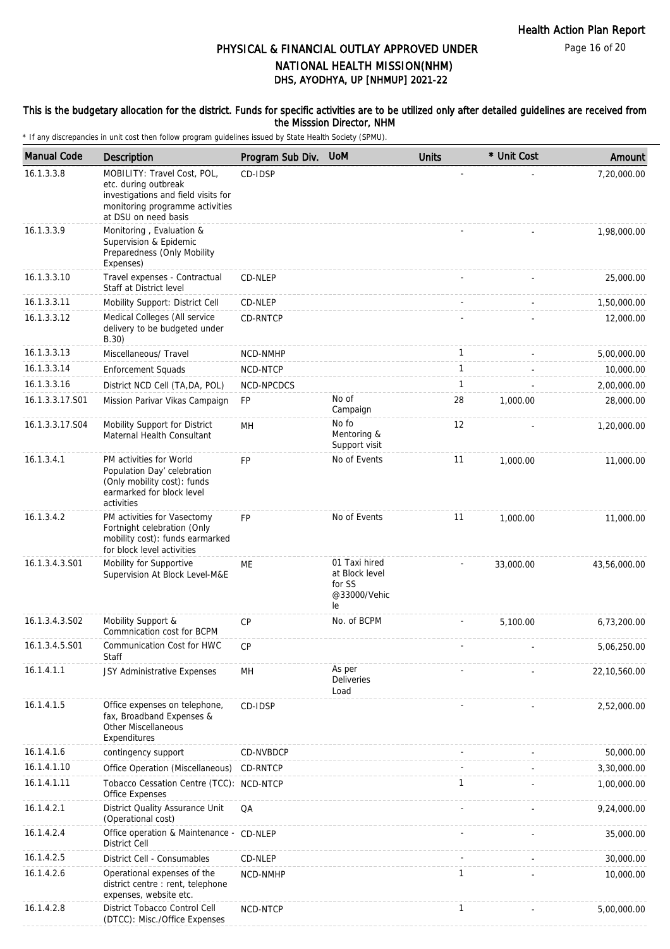Page 16 of 20

## DHS, AYODHYA, UP [NHMUP] 2021-22 PHYSICAL & FINANCIAL OUTLAY APPROVED UNDER NATIONAL HEALTH MISSION(NHM)

#### This is the budgetary allocation for the district. Funds for specific activities are to be utilized only after detailed guidelines are received from the Misssion Director, NHM

| <b>Manual Code</b> | <b>Description</b>                                                                                                                                    | Program Sub Div. | <b>UoM</b>                                                      | <b>Units</b> | * Unit Cost | Amount       |
|--------------------|-------------------------------------------------------------------------------------------------------------------------------------------------------|------------------|-----------------------------------------------------------------|--------------|-------------|--------------|
| 16.1.3.3.8         | MOBILITY: Travel Cost, POL,<br>etc. during outbreak<br>investigations and field visits for<br>monitoring programme activities<br>at DSU on need basis | CD-IDSP          |                                                                 |              |             | 7,20,000.00  |
| 16.1.3.3.9         | Monitoring, Evaluation &<br>Supervision & Epidemic<br>Preparedness (Only Mobility<br>Expenses)                                                        |                  |                                                                 |              |             | 1,98,000.00  |
| 16.1.3.3.10        | Travel expenses - Contractual<br>Staff at District level                                                                                              | CD-NLEP          |                                                                 |              |             | 25,000.00    |
| 16.1.3.3.11        | Mobility Support: District Cell                                                                                                                       | CD-NLEP          |                                                                 |              |             | 1,50,000.00  |
| 16.1.3.3.12        | Medical Colleges (All service<br>delivery to be budgeted under<br>B.30)                                                                               | CD-RNTCP         |                                                                 |              |             | 12,000.00    |
| 16.1.3.3.13        | Miscellaneous/ Travel                                                                                                                                 | NCD-NMHP         |                                                                 | $\mathbf{1}$ |             | 5,00,000.00  |
| 16.1.3.3.14        | <b>Enforcement Squads</b>                                                                                                                             | NCD-NTCP         |                                                                 | $\mathbf{1}$ |             | 10,000.00    |
| 16.1.3.3.16        | District NCD Cell (TA, DA, POL)                                                                                                                       | NCD-NPCDCS       |                                                                 | 1            |             | 2,00,000.00  |
| 16.1.3.3.17.S01    | Mission Parivar Vikas Campaign                                                                                                                        | <b>FP</b>        | No of<br>Campaign                                               | 28           | 1,000.00    | 28,000.00    |
| 16.1.3.3.17.S04    | Mobility Support for District<br>Maternal Health Consultant                                                                                           | MН               | No fo<br>Mentoring &<br>Support visit                           | 12           |             | 1,20,000.00  |
| 16.1.3.4.1         | PM activities for World<br>Population Day' celebration<br>(Only mobility cost): funds<br>earmarked for block level<br>activities                      | <b>FP</b>        | No of Events                                                    | 11           | 1,000.00    | 11,000.00    |
| 16.1.3.4.2         | PM activities for Vasectomy<br>Fortnight celebration (Only<br>mobility cost): funds earmarked<br>for block level activities                           | <b>FP</b>        | No of Events                                                    | 11           | 1,000.00    | 11,000.00    |
| 16.1.3.4.3.S01     | Mobility for Supportive<br>Supervision At Block Level-M&E                                                                                             | ME               | 01 Taxi hired<br>at Block level<br>for SS<br>@33000/Vehic<br>le |              | 33,000.00   | 43,56,000.00 |
| 16.1.3.4.3.S02     | Mobility Support &<br>Commnication cost for BCPM                                                                                                      | <b>CP</b>        | No. of BCPM                                                     |              | 5,100.00    | 6,73,200.00  |
| 16.1.3.4.5.S01     | Communication Cost for HWC<br>Staff                                                                                                                   | <b>CP</b>        |                                                                 |              |             | 5,06,250.00  |
| 16.1.4.1.1         | JSY Administrative Expenses                                                                                                                           | MH               | As per<br><b>Deliveries</b><br>Load                             |              |             | 22,10,560.00 |
| 16.1.4.1.5         | Office expenses on telephone,<br>fax, Broadband Expenses &<br><b>Other Miscellaneous</b><br>Expenditures                                              | CD-IDSP          |                                                                 |              |             | 2,52,000.00  |
| 16.1.4.1.6         | contingency support                                                                                                                                   | CD-NVBDCP        |                                                                 |              |             | 50,000.00    |
| 16.1.4.1.10        | Office Operation (Miscellaneous)                                                                                                                      | CD-RNTCP         |                                                                 |              |             | 3,30,000.00  |
| 16.1.4.1.11        | Tobacco Cessation Centre (TCC): NCD-NTCP<br>Office Expenses                                                                                           |                  |                                                                 | 1            |             | 1,00,000.00  |
| 16.1.4.2.1         | District Quality Assurance Unit<br>(Operational cost)                                                                                                 | QA               |                                                                 |              |             | 9,24,000.00  |
| 16.1.4.2.4         | Office operation & Maintenance - CD-NLEP<br><b>District Cell</b>                                                                                      |                  |                                                                 |              |             | 35,000.00    |
| 16.1.4.2.5         | District Cell - Consumables                                                                                                                           | CD-NLEP          |                                                                 |              |             | 30,000.00    |
| 16.1.4.2.6         | Operational expenses of the<br>district centre : rent, telephone<br>expenses, website etc.                                                            | NCD-NMHP         |                                                                 | 1            |             | 10,000.00    |
| 16.1.4.2.8         | District Tobacco Control Cell<br>(DTCC): Misc./Office Expenses                                                                                        | NCD-NTCP         |                                                                 | $\mathbf{1}$ |             | 5,00,000.00  |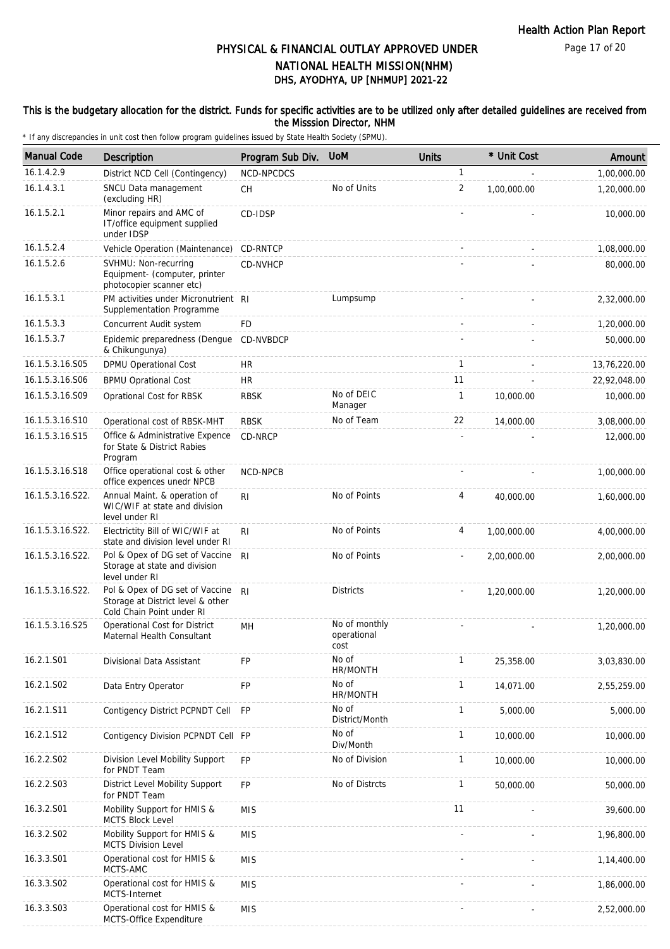Page 17 of 20

# DHS, AYODHYA, UP [NHMUP] 2021-22 PHYSICAL & FINANCIAL OUTLAY APPROVED UNDER NATIONAL HEALTH MISSION(NHM)

### This is the budgetary allocation for the district. Funds for specific activities are to be utilized only after detailed guidelines are received from the Misssion Director, NHM

| <b>Manual Code</b> | Description                                                                                       | Program Sub Div. | <b>UoM</b>                           | <b>Units</b> | * Unit Cost | Amount       |
|--------------------|---------------------------------------------------------------------------------------------------|------------------|--------------------------------------|--------------|-------------|--------------|
| 16.1.4.2.9         | District NCD Cell (Contingency)                                                                   | NCD-NPCDCS       |                                      | 1            |             | 1,00,000.00  |
| 16.1.4.3.1         | SNCU Data management<br>(excluding HR)                                                            | <b>CH</b>        | No of Units                          | 2            | 1,00,000.00 | 1,20,000.00  |
| 16.1.5.2.1         | Minor repairs and AMC of<br>IT/office equipment supplied<br>under IDSP                            | CD-IDSP          |                                      |              |             | 10,000.00    |
| 16.1.5.2.4         | Vehicle Operation (Maintenance)                                                                   | CD-RNTCP         |                                      |              |             | 1,08,000.00  |
| 16.1.5.2.6         | SVHMU: Non-recurring<br>Equipment- (computer, printer<br>photocopier scanner etc)                 | CD-NVHCP         |                                      |              |             | 80,000.00    |
| 16.1.5.3.1         | PM activities under Micronutrient RI<br>Supplementation Programme                                 |                  | Lumpsump                             |              |             | 2,32,000.00  |
| 16.1.5.3.3         | Concurrent Audit system                                                                           | FD               |                                      |              |             | 1,20,000.00  |
| 16.1.5.3.7         | Epidemic preparedness (Dengue<br>& Chikungunya)                                                   | CD-NVBDCP        |                                      |              |             | 50,000.00    |
| 16.1.5.3.16.S05    | <b>DPMU Operational Cost</b>                                                                      | HR               |                                      | 1            |             | 13,76,220.00 |
| 16.1.5.3.16.S06    | <b>BPMU Oprational Cost</b>                                                                       | <b>HR</b>        |                                      | 11           |             | 22,92,048.00 |
| 16.1.5.3.16.S09    | Oprational Cost for RBSK                                                                          | <b>RBSK</b>      | No of DEIC<br>Manager                | $\mathbf{1}$ | 10,000.00   | 10,000.00    |
| 16.1.5.3.16.S10    | Operational cost of RBSK-MHT                                                                      | <b>RBSK</b>      | No of Team                           | 22           | 14,000.00   | 3,08,000.00  |
| 16.1.5.3.16.S15    | Office & Administrative Expence<br>for State & District Rabies<br>Program                         | CD-NRCP          |                                      |              |             | 12,000.00    |
| 16.1.5.3.16.S18    | Office operational cost & other<br>office expences unedr NPCB                                     | NCD-NPCB         |                                      |              |             | 1,00,000.00  |
| 16.1.5.3.16.S22.   | Annual Maint. & operation of<br>WIC/WIF at state and division<br>level under RI                   | R <sub>l</sub>   | No of Points                         | 4            | 40,000.00   | 1,60,000.00  |
| 16.1.5.3.16.S22.   | Electrictity Bill of WIC/WIF at<br>state and division level under RI                              | R <sub>l</sub>   | No of Points                         | 4            | 1,00,000.00 | 4,00,000.00  |
| 16.1.5.3.16.S22.   | Pol & Opex of DG set of Vaccine<br>Storage at state and division<br>level under RI                | R <sub>l</sub>   | No of Points                         |              | 2,00,000.00 | 2,00,000.00  |
| 16.1.5.3.16.S22.   | Pol & Opex of DG set of Vaccine<br>Storage at District level & other<br>Cold Chain Point under RI | R <sub>l</sub>   | <b>Districts</b>                     |              | 1,20,000.00 | 1,20,000.00  |
| 16.1.5.3.16.S25    | Operational Cost for District<br>Maternal Health Consultant                                       | MH               | No of monthly<br>operational<br>cost |              |             | 1,20,000.00  |
| 16.2.1.S01         | Divisional Data Assistant                                                                         | FP               | No of<br>HR/MONTH                    | $\mathbf{1}$ | 25,358.00   | 3,03,830.00  |
| 16.2.1.S02         | Data Entry Operator                                                                               | <b>FP</b>        | No of<br>HR/MONTH                    | 1            | 14,071.00   | 2,55,259.00  |
| 16.2.1.S11         | Contigency District PCPNDT Cell                                                                   | <b>FP</b>        | No of<br>District/Month              | 1            | 5,000.00    | 5,000.00     |
| 16.2.1.S12         | Contigency Division PCPNDT Cell FP                                                                |                  | No of<br>Div/Month                   | 1            | 10,000.00   | 10,000.00    |
| 16.2.2.S02         | Division Level Mobility Support<br>for PNDT Team                                                  | <b>FP</b>        | No of Division                       | 1            | 10,000.00   | 10,000.00    |
| 16.2.2.S03         | District Level Mobility Support<br>for PNDT Team                                                  | <b>FP</b>        | No of Distrcts                       | $\mathbf{1}$ | 50,000.00   | 50,000.00    |
| 16.3.2.S01         | Mobility Support for HMIS &<br><b>MCTS Block Level</b>                                            | <b>MIS</b>       |                                      | 11           |             | 39,600.00    |
| 16.3.2.S02         | Mobility Support for HMIS &<br><b>MCTS Division Level</b>                                         | <b>MIS</b>       |                                      |              |             | 1,96,800.00  |
| 16.3.3.S01         | Operational cost for HMIS &<br>MCTS-AMC                                                           | <b>MIS</b>       |                                      |              |             | 1,14,400.00  |
| 16.3.3.S02         | Operational cost for HMIS &<br>MCTS-Internet                                                      | <b>MIS</b>       |                                      |              |             | 1,86,000.00  |
| 16.3.3.S03         | Operational cost for HMIS &<br>MCTS-Office Expenditure                                            | <b>MIS</b>       |                                      |              |             | 2,52,000.00  |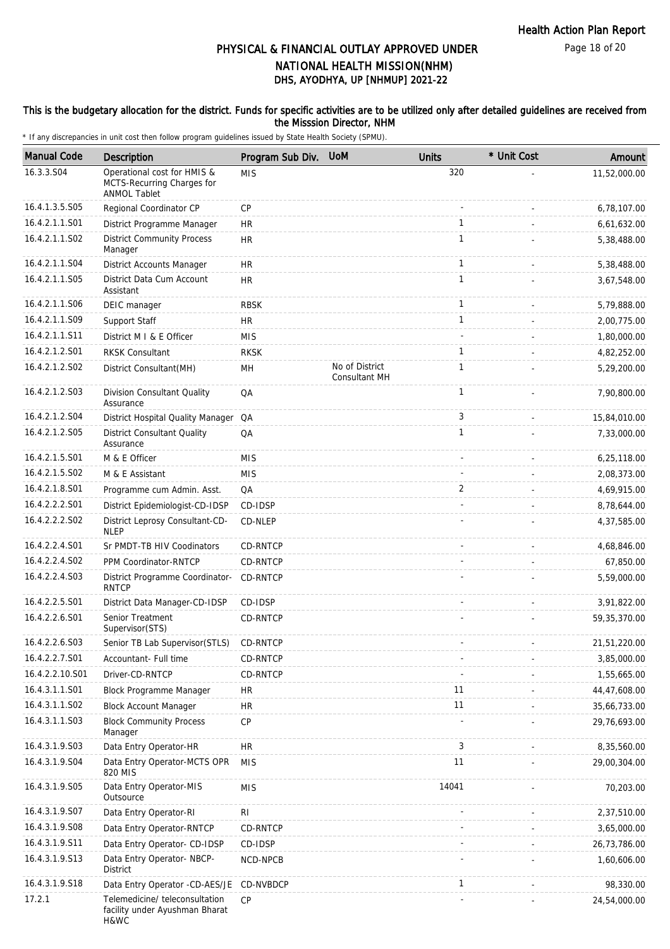#### This is the budgetary allocation for the district. Funds for specific activities are to be utilized only after detailed guidelines are received from the Misssion Director, NHM

| <b>Manual Code</b> | Description                                                                      | Program Sub Div. | <b>UoM</b>                             | <b>Units</b> | * Unit Cost | Amount         |
|--------------------|----------------------------------------------------------------------------------|------------------|----------------------------------------|--------------|-------------|----------------|
| 16.3.3.S04         | Operational cost for HMIS &<br>MCTS-Recurring Charges for<br><b>ANMOL Tablet</b> | <b>MIS</b>       |                                        | 320          |             | 11,52,000.00   |
| 16.4.1.3.5.S05     | Regional Coordinator CP                                                          | CP               |                                        |              |             | 6,78,107.00    |
| 16.4.2.1.1.S01     | District Programme Manager                                                       | <b>HR</b>        |                                        | $\mathbf{1}$ |             | 6,61,632.00    |
| 16.4.2.1.1.S02     | <b>District Community Process</b><br>Manager                                     | <b>HR</b>        |                                        | $\mathbf{1}$ |             | 5,38,488.00    |
| 16.4.2.1.1.S04     | District Accounts Manager                                                        | <b>HR</b>        |                                        | $\mathbf{1}$ |             | 5,38,488.00    |
| 16.4.2.1.1.S05     | District Data Cum Account<br>Assistant                                           | <b>HR</b>        |                                        | $\mathbf{1}$ |             | 3,67,548.00    |
| 16.4.2.1.1.S06     | DEIC manager                                                                     | <b>RBSK</b>      |                                        | $\mathbf{1}$ |             | 5,79,888.00    |
| 16.4.2.1.1.S09     | Support Staff                                                                    | <b>HR</b>        |                                        | $\mathbf{1}$ |             | 2,00,775.00    |
| 16.4.2.1.1.S11     | District M I & E Officer                                                         | <b>MIS</b>       |                                        |              |             | 1,80,000.00    |
| 16.4.2.1.2.S01     | <b>RKSK Consultant</b>                                                           | <b>RKSK</b>      |                                        | $\mathbf{1}$ |             | 4,82,252.00    |
| 16.4.2.1.2.S02     | District Consultant (MH)                                                         | MН               | No of District<br><b>Consultant MH</b> | $\mathbf{1}$ |             | 5,29,200.00    |
| 16.4.2.1.2.S03     | Division Consultant Quality<br>Assurance                                         | QA               |                                        | $\mathbf{1}$ |             | 7,90,800.00    |
| 16.4.2.1.2.S04     | District Hospital Quality Manager QA                                             |                  |                                        | 3            |             | 15,84,010.00   |
| 16.4.2.1.2.S05     | <b>District Consultant Quality</b><br>Assurance                                  | QA               |                                        | $\mathbf{1}$ |             | 7,33,000.00    |
| 16.4.2.1.5.S01     | M & E Officer                                                                    | <b>MIS</b>       |                                        |              |             | 6,25,118.00    |
| 16.4.2.1.5.S02     | M & E Assistant                                                                  | <b>MIS</b>       |                                        |              |             | 2,08,373.00    |
| 16.4.2.1.8.S01     | Programme cum Admin. Asst.                                                       | QA               |                                        | 2            |             | 4,69,915.00    |
| 16.4.2.2.2.S01     | District Epidemiologist-CD-IDSP                                                  | CD-IDSP          |                                        |              |             | 8,78,644.00    |
| 16.4.2.2.2.S02     | District Leprosy Consultant-CD-<br><b>NLEP</b>                                   | CD-NLEP          |                                        |              |             | 4,37,585.00    |
| 16.4.2.2.4.S01     | Sr PMDT-TB HIV Coodinators                                                       | CD-RNTCP         |                                        |              |             | 4,68,846.00    |
| 16.4.2.2.4.S02     | PPM Coordinator-RNTCP                                                            | CD-RNTCP         |                                        |              |             | 67,850.00      |
| 16.4.2.2.4.S03     | District Programme Coordinator-<br><b>RNTCP</b>                                  | CD-RNTCP         |                                        |              |             | 5,59,000.00    |
| 16.4.2.2.5.S01     | District Data Manager-CD-IDSP                                                    | CD-IDSP          |                                        |              |             | 3,91,822.00    |
| 16.4.2.2.6.S01     | Senior Treatment<br>Supervisor (STS)                                             | CD-RNTCP         |                                        |              |             | 59, 35, 370.00 |
| 16.4.2.2.6.S03     | Senior TB Lab Supervisor (STLS)                                                  | CD-RNTCP         |                                        |              |             | 21,51,220.00   |
| 16.4.2.2.7.S01     | Accountant- Full time                                                            | CD-RNTCP         |                                        |              |             | 3,85,000.00    |
| 16.4.2.2.10.S01    | Driver-CD-RNTCP                                                                  | CD-RNTCP         |                                        |              |             | 1,55,665.00    |
| 16.4.3.1.1.S01     | <b>Block Programme Manager</b>                                                   | <b>HR</b>        |                                        | 11           |             | 44,47,608.00   |
| 16.4.3.1.1.S02     | <b>Block Account Manager</b>                                                     | <b>HR</b>        |                                        | 11           |             | 35,66,733.00   |
| 16.4.3.1.1.S03     | <b>Block Community Process</b><br>Manager                                        | CP               |                                        |              |             | 29,76,693.00   |
| 16.4.3.1.9.S03     | Data Entry Operator-HR                                                           | HR               |                                        | 3            |             | 8,35,560.00    |
| 16.4.3.1.9.S04     | Data Entry Operator-MCTS OPR<br>820 MIS                                          | <b>MIS</b>       |                                        | 11           |             | 29,00,304.00   |
| 16.4.3.1.9.S05     | Data Entry Operator-MIS<br>Outsource                                             | <b>MIS</b>       |                                        | 14041        |             | 70,203.00      |
| 16.4.3.1.9.S07     | Data Entry Operator-RI                                                           | <b>RI</b>        |                                        |              |             | 2,37,510.00    |
| 16.4.3.1.9.S08     | Data Entry Operator-RNTCP                                                        | CD-RNTCP         |                                        |              |             | 3,65,000.00    |
| 16.4.3.1.9.S11     | Data Entry Operator- CD-IDSP                                                     | CD-IDSP          |                                        |              |             | 26,73,786.00   |
| 16.4.3.1.9.S13     | Data Entry Operator-NBCP-<br>District                                            | NCD-NPCB         |                                        |              |             | 1,60,606.00    |
| 16.4.3.1.9.S18     | Data Entry Operator -CD-AES/JE                                                   | CD-NVBDCP        |                                        | 1            |             | 98,330.00      |
| 17.2.1             | Telemedicine/ teleconsultation<br>facility under Ayushman Bharat<br>H&WC         | <b>CP</b>        |                                        |              |             | 24,54,000.00   |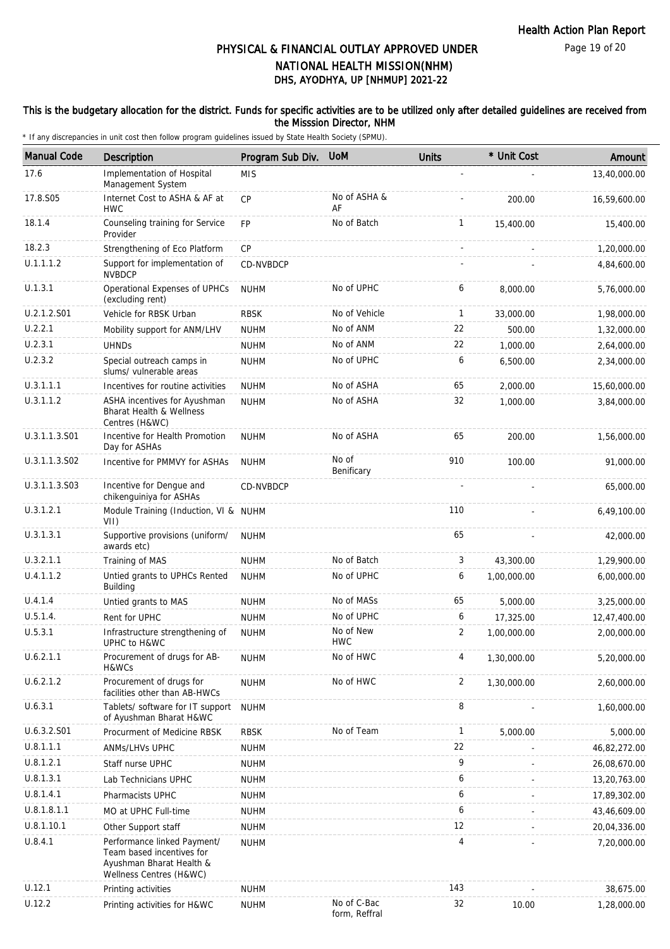Page 19 of 20

# DHS, AYODHYA, UP [NHMUP] 2021-22 PHYSICAL & FINANCIAL OUTLAY APPROVED UNDER NATIONAL HEALTH MISSION(NHM)

### This is the budgetary allocation for the district. Funds for specific activities are to be utilized only after detailed guidelines are received from the Misssion Director, NHM

| <b>Manual Code</b> | <b>Description</b>                                                                                              | Program Sub Div. | <b>UOM</b>                   | <b>Units</b> | * Unit Cost | Amount       |
|--------------------|-----------------------------------------------------------------------------------------------------------------|------------------|------------------------------|--------------|-------------|--------------|
| 17.6               | Implementation of Hospital<br>Management System                                                                 | <b>MIS</b>       |                              |              |             | 13,40,000.00 |
| 17.8.S05           | Internet Cost to ASHA & AF at<br><b>HWC</b>                                                                     | <b>CP</b>        | No of ASHA &<br>AF           |              | 200.00      | 16,59,600.00 |
| 18.1.4             | Counseling training for Service<br>Provider                                                                     | FP               | No of Batch                  | $\mathbf{1}$ | 15,400.00   | 15,400.00    |
| 18.2.3             | Strengthening of Eco Platform                                                                                   | CP               |                              |              |             | 1,20,000.00  |
| U.1.1.1.2          | Support for implementation of<br><b>NVBDCP</b>                                                                  | CD-NVBDCP        |                              |              |             | 4,84,600.00  |
| U.1.3.1            | Operational Expenses of UPHCs<br>(excluding rent)                                                               | <b>NUHM</b>      | No of UPHC                   | 6            | 8,000.00    | 5,76,000.00  |
| U.2.1.2.S01        | Vehicle for RBSK Urban                                                                                          | <b>RBSK</b>      | No of Vehicle                | 1            | 33,000.00   | 1,98,000.00  |
| U.2.2.1            | Mobility support for ANM/LHV                                                                                    | <b>NUHM</b>      | No of ANM                    | 22           | 500.00      | 1,32,000.00  |
| U.2.3.1            | <b>UHNDs</b>                                                                                                    | <b>NUHM</b>      | No of ANM                    | 22           | 1,000.00    | 2,64,000.00  |
| U.2.3.2            | Special outreach camps in<br>slums/ vulnerable areas                                                            | <b>NUHM</b>      | No of UPHC                   | 6            | 6,500.00    | 2,34,000.00  |
| U.3.1.1.1          | Incentives for routine activities                                                                               | <b>NUHM</b>      | No of ASHA                   | 65           | 2,000.00    | 15,60,000.00 |
| U.3.1.1.2          | ASHA incentives for Ayushman<br><b>Bharat Health &amp; Wellness</b><br>Centres (H&WC)                           | <b>NUHM</b>      | No of ASHA                   | 32           | 1,000.00    | 3,84,000.00  |
| U.3.1.1.3.S01      | Incentive for Health Promotion<br>Day for ASHAs                                                                 | <b>NUHM</b>      | No of ASHA                   | 65           | 200.00      | 1,56,000.00  |
| U.3.1.1.3.S02      | Incentive for PMMVY for ASHAs                                                                                   | <b>NUHM</b>      | No of<br>Benificary          | 910          | 100.00      | 91,000.00    |
| U.3.1.1.3.S03      | Incentive for Dengue and<br>chikenguiniya for ASHAs                                                             | CD-NVBDCP        |                              |              |             | 65,000.00    |
| U.3.1.2.1          | Module Training (Induction, VI & NUHM<br>VII)                                                                   |                  |                              | 110          |             | 6,49,100.00  |
| U.3.1.3.1          | Supportive provisions (uniform/<br>awards etc)                                                                  | <b>NUHM</b>      |                              | 65           |             | 42,000.00    |
| U.3.2.1.1          | Training of MAS                                                                                                 | <b>NUHM</b>      | No of Batch                  | 3            | 43,300.00   | 1,29,900.00  |
| U.4.1.1.2          | Untied grants to UPHCs Rented<br><b>Building</b>                                                                | <b>NUHM</b>      | No of UPHC                   | 6            | 1,00,000.00 | 6,00,000.00  |
| U.4.1.4            | Untied grants to MAS                                                                                            | <b>NUHM</b>      | No of MASs                   | 65           | 5,000.00    | 3,25,000.00  |
| U.5.1.4.           | Rent for UPHC                                                                                                   | <b>NUHM</b>      | No of UPHC                   | 6            | 17,325.00   | 12,47,400.00 |
| U.5.3.1            | Infrastructure strengthening of<br>UPHC to H&WC                                                                 | <b>NUHM</b>      | No of New<br><b>HWC</b>      | 2            | 1.00.000.00 | 2,00,000.00  |
| U.6.2.1.1          | Procurement of drugs for AB-<br>H&WCs                                                                           | <b>NUHM</b>      | No of HWC                    | 4            | 1,30,000.00 | 5,20,000.00  |
| U.6.2.1.2          | Procurement of drugs for<br>facilities other than AB-HWCs                                                       | <b>NUHM</b>      | No of HWC                    | 2            | 1,30,000.00 | 2,60,000.00  |
| U.6.3.1            | Tablets/ software for IT support<br>of Ayushman Bharat H&WC                                                     | <b>NUHM</b>      |                              | 8            |             | 1,60,000.00  |
| U.6.3.2.S01        | Procurment of Medicine RBSK                                                                                     | <b>RBSK</b>      | No of Team                   | 1            | 5,000.00    | 5,000.00     |
| U.8.1.1.1          | <b>ANMS/LHVS UPHC</b>                                                                                           | <b>NUHM</b>      |                              | 22           |             | 46,82,272.00 |
| U.8.1.2.1          | Staff nurse UPHC                                                                                                | <b>NUHM</b>      |                              | 9            |             | 26,08,670.00 |
| U.8.1.3.1          | Lab Technicians UPHC                                                                                            | <b>NUHM</b>      |                              | 6            |             | 13,20,763.00 |
| U.8.1.4.1          | Pharmacists UPHC                                                                                                | <b>NUHM</b>      |                              | 6            |             | 17,89,302.00 |
| U.8.1.8.1.1        | MO at UPHC Full-time                                                                                            | <b>NUHM</b>      |                              | 6            |             | 43,46,609.00 |
| U.8.1.10.1         | Other Support staff                                                                                             | <b>NUHM</b>      |                              | 12           |             | 20,04,336.00 |
| U.8.4.1            | Performance linked Payment/<br>Team based incentives for<br>Ayushman Bharat Health &<br>Wellness Centres (H&WC) | <b>NUHM</b>      |                              | 4            |             | 7,20,000.00  |
| U.12.1             | Printing activities                                                                                             | <b>NUHM</b>      |                              | 143          |             | 38,675.00    |
| U.12.2             | Printing activities for H&WC                                                                                    | <b>NUHM</b>      | No of C-Bac<br>form, Reffral | 32           | 10.00       | 1,28,000.00  |